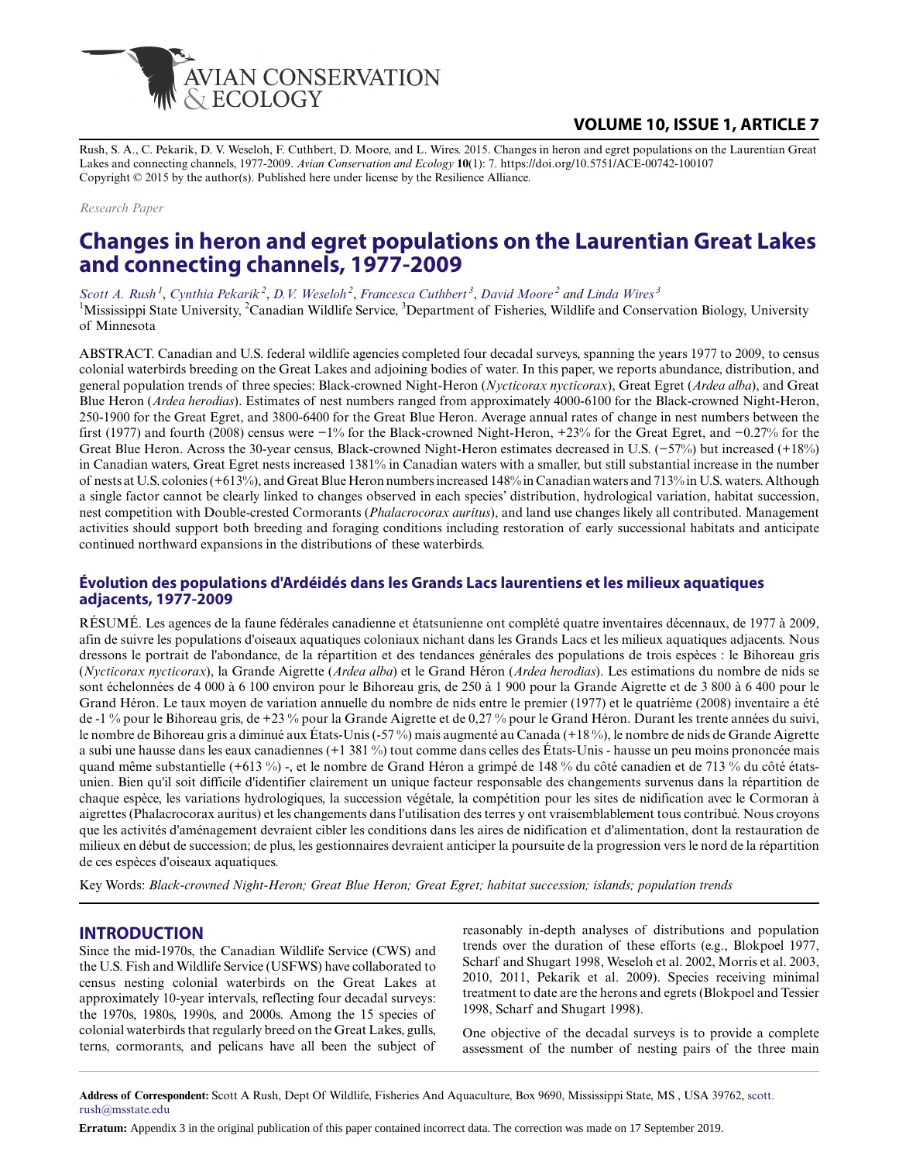

# **VOLUME 10, ISSUE 1, ARTICLE 7**

Rush, S. A., C. Pekarik, D. V. Weseloh, F. Cuthbert, D. Moore, and L. Wires. 2015. Changes in heron and egret populations on the Laurentian Great Lakes and connecting channels, 1977-2009. *Avian Conservation and Ecology* **10**(1): 7. https://doi.org/10.5751/ACE-00742-100107 Copyright © 2015 by the author(s). Published here under license by the Resilience Alliance.

*Research Paper*

# **Changes in heron and egret populations on the Laurentian Great Lakes and connecting channels, 1977-2009**

*[Scott A. Rush](mailto:scott.rush@msstate.edu)<sup>1</sup>* , *[Cynthia Pekarik](mailto:cynthia.pekarik@ec.gc.ca)<sup>2</sup>* , *[D.V. Weseloh](mailto:chip.weseloh@ec.gc.ca)<sup>2</sup>* , *[Francesca Cuthbert](mailto:cuthb001@umn.edu)<sup>3</sup>* , *[David Moore](mailto:dave.moore@ec.gc.ca)<sup>2</sup> and [Linda Wires](mailto:wires001@umn.edu)<sup>3</sup>*

<sup>1</sup>Mississippi State University, <sup>2</sup>Canadian Wildlife Service, <sup>3</sup>Department of Fisheries, Wildlife and Conservation Biology, University of Minnesota

ABSTRACT. Canadian and U.S. federal wildlife agencies completed four decadal surveys, spanning the years 1977 to 2009, to census colonial waterbirds breeding on the Great Lakes and adjoining bodies of water. In this paper, we reports abundance, distribution, and general population trends of three species: Black-crowned Night-Heron (*Nycticorax nycticorax*), Great Egret (*Ardea alba*), and Great Blue Heron (*Ardea herodias*). Estimates of nest numbers ranged from approximately 4000-6100 for the Black-crowned Night-Heron, 250-1900 for the Great Egret, and 3800-6400 for the Great Blue Heron. Average annual rates of change in nest numbers between the first (1977) and fourth (2008) census were −1% for the Black-crowned Night-Heron, +23% for the Great Egret, and −0.27% for the Great Blue Heron. Across the 30-year census, Black-crowned Night-Heron estimates decreased in U.S. (−57%) but increased (+18%) in Canadian waters, Great Egret nests increased 1381% in Canadian waters with a smaller, but still substantial increase in the number of nests at U.S. colonies (+613%), and Great Blue Heron numbers increased 148% in Canadian waters and 713% in U.S. waters. Although a single factor cannot be clearly linked to changes observed in each species' distribution, hydrological variation, habitat succession, nest competition with Double-crested Cormorants (*Phalacrocorax auritus*), and land use changes likely all contributed. Management activities should support both breeding and foraging conditions including restoration of early successional habitats and anticipate continued northward expansions in the distributions of these waterbirds.

### **Évolution des populations d'Ardéidés dans les Grands Lacs laurentiens et les milieux aquatiques adjacents, 1977-2009**

RÉSUMÉ. Les agences de la faune fédérales canadienne et étatsunienne ont complété quatre inventaires décennaux, de 1977 à 2009, afin de suivre les populations d'oiseaux aquatiques coloniaux nichant dans les Grands Lacs et les milieux aquatiques adjacents. Nous dressons le portrait de l'abondance, de la répartition et des tendances générales des populations de trois espèces : le Bihoreau gris (*Nycticorax nycticorax*), la Grande Aigrette (*Ardea alba*) et le Grand Héron (*Ardea herodias*). Les estimations du nombre de nids se sont échelonnées de 4 000 à 6 100 environ pour le Bihoreau gris, de 250 à 1 900 pour la Grande Aigrette et de 3 800 à 6 400 pour le Grand Héron. Le taux moyen de variation annuelle du nombre de nids entre le premier (1977) et le quatrième (2008) inventaire a été de -1 % pour le Bihoreau gris, de +23 % pour la Grande Aigrette et de 0,27 % pour le Grand Héron. Durant les trente années du suivi, le nombre de Bihoreau gris a diminué aux États-Unis (-57 %) mais augmenté au Canada (+18 %), le nombre de nids de Grande Aigrette a subi une hausse dans les eaux canadiennes (+1 381 %) tout comme dans celles des États-Unis - hausse un peu moins prononcée mais quand même substantielle (+613 %) -, et le nombre de Grand Héron a grimpé de 148 % du côté canadien et de 713 % du côté étatsunien. Bien qu'il soit difficile d'identifier clairement un unique facteur responsable des changements survenus dans la répartition de chaque espèce, les variations hydrologiques, la succession végétale, la compétition pour les sites de nidification avec le Cormoran à aigrettes (Phalacrocorax auritus) et les changements dans l'utilisation des terres y ont vraisemblablement tous contribué. Nous croyons que les activités d'aménagement devraient cibler les conditions dans les aires de nidification et d'alimentation, dont la restauration de milieux en début de succession; de plus, les gestionnaires devraient anticiper la poursuite de la progression vers le nord de la répartition de ces espèces d'oiseaux aquatiques.

Key Words: *Black-crowned Night-Heron; Great Blue Heron; Great Egret; habitat succession; islands; population trends*

### **INTRODUCTION**

Since the mid-1970s, the Canadian Wildlife Service (CWS) and the U.S. Fish and Wildlife Service (USFWS) have collaborated to census nesting colonial waterbirds on the Great Lakes at approximately 10-year intervals, reflecting four decadal surveys: the 1970s, 1980s, 1990s, and 2000s. Among the 15 species of colonial waterbirds that regularly breed on the Great Lakes, gulls, terns, cormorants, and pelicans have all been the subject of

reasonably in-depth analyses of distributions and population trends over the duration of these efforts (e.g., Blokpoel 1977, Scharf and Shugart 1998, Weseloh et al. 2002, Morris et al. 2003, 2010, 2011, Pekarik et al. 2009). Species receiving minimal treatment to date are the herons and egrets (Blokpoel and Tessier 1998, Scharf and Shugart 1998).

One objective of the decadal surveys is to provide a complete assessment of the number of nesting pairs of the three main

**Address of Correspondent:** Scott A Rush, Dept Of Wildlife, Fisheries And Aquaculture, Box 9690, Mississippi State, MS , USA 39762, [scott.](mailto:scott.rush@msstate.edu) [rush@msstate.edu](mailto:scott.rush@msstate.edu)

**Erratum:** Appendix 3 in the original publication of this paper contained incorrect data. The correction was made on 17 September 2019.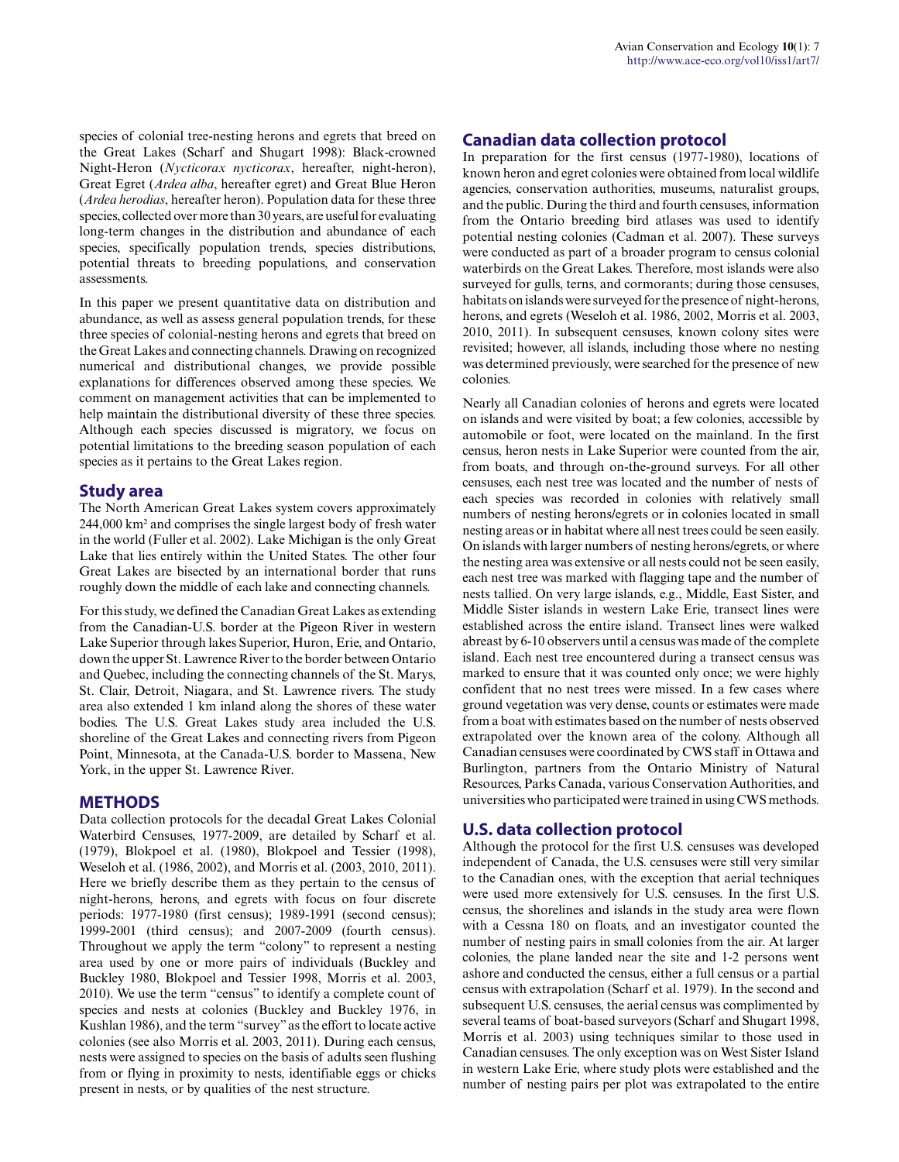species of colonial tree-nesting herons and egrets that breed on the Great Lakes (Scharf and Shugart 1998): Black-crowned Night-Heron (*Nycticorax nycticorax*, hereafter, night-heron), Great Egret (*Ardea alba*, hereafter egret) and Great Blue Heron (*Ardea herodias*, hereafter heron). Population data for these three species, collected over more than 30 years, are useful for evaluating long-term changes in the distribution and abundance of each species, specifically population trends, species distributions, potential threats to breeding populations, and conservation assessments.

In this paper we present quantitative data on distribution and abundance, as well as assess general population trends, for these three species of colonial-nesting herons and egrets that breed on the Great Lakes and connecting channels. Drawing on recognized numerical and distributional changes, we provide possible explanations for differences observed among these species. We comment on management activities that can be implemented to help maintain the distributional diversity of these three species. Although each species discussed is migratory, we focus on potential limitations to the breeding season population of each species as it pertains to the Great Lakes region.

# **Study area**

The North American Great Lakes system covers approximately 244,000 km² and comprises the single largest body of fresh water in the world (Fuller et al. 2002). Lake Michigan is the only Great Lake that lies entirely within the United States. The other four Great Lakes are bisected by an international border that runs roughly down the middle of each lake and connecting channels.

For this study, we defined the Canadian Great Lakes as extending from the Canadian-U.S. border at the Pigeon River in western Lake Superior through lakes Superior, Huron, Erie, and Ontario, down the upper St. Lawrence River to the border between Ontario and Quebec, including the connecting channels of the St. Marys, St. Clair, Detroit, Niagara, and St. Lawrence rivers. The study area also extended 1 km inland along the shores of these water bodies. The U.S. Great Lakes study area included the U.S. shoreline of the Great Lakes and connecting rivers from Pigeon Point, Minnesota, at the Canada-U.S. border to Massena, New York, in the upper St. Lawrence River.

# **METHODS**

Data collection protocols for the decadal Great Lakes Colonial Waterbird Censuses, 1977-2009, are detailed by Scharf et al. (1979), Blokpoel et al. (1980), Blokpoel and Tessier (1998), Weseloh et al. (1986, 2002), and Morris et al. (2003, 2010, 2011). Here we briefly describe them as they pertain to the census of night-herons, herons, and egrets with focus on four discrete periods: 1977-1980 (first census); 1989-1991 (second census); 1999-2001 (third census); and 2007-2009 (fourth census). Throughout we apply the term "colony" to represent a nesting area used by one or more pairs of individuals (Buckley and Buckley 1980, Blokpoel and Tessier 1998, Morris et al. 2003, 2010). We use the term "census" to identify a complete count of species and nests at colonies (Buckley and Buckley 1976, in Kushlan 1986), and the term "survey" as the effort to locate active colonies (see also Morris et al. 2003, 2011). During each census, nests were assigned to species on the basis of adults seen flushing from or flying in proximity to nests, identifiable eggs or chicks present in nests, or by qualities of the nest structure.

# **Canadian data collection protocol**

In preparation for the first census (1977-1980), locations of known heron and egret colonies were obtained from local wildlife agencies, conservation authorities, museums, naturalist groups, and the public. During the third and fourth censuses, information from the Ontario breeding bird atlases was used to identify potential nesting colonies (Cadman et al. 2007). These surveys were conducted as part of a broader program to census colonial waterbirds on the Great Lakes. Therefore, most islands were also surveyed for gulls, terns, and cormorants; during those censuses, habitats on islands were surveyed for the presence of night-herons, herons, and egrets (Weseloh et al. 1986, 2002, Morris et al. 2003, 2010, 2011). In subsequent censuses, known colony sites were revisited; however, all islands, including those where no nesting was determined previously, were searched for the presence of new colonies.

Nearly all Canadian colonies of herons and egrets were located on islands and were visited by boat; a few colonies, accessible by automobile or foot, were located on the mainland. In the first census, heron nests in Lake Superior were counted from the air, from boats, and through on-the-ground surveys. For all other censuses, each nest tree was located and the number of nests of each species was recorded in colonies with relatively small numbers of nesting herons/egrets or in colonies located in small nesting areas or in habitat where all nest trees could be seen easily. On islands with larger numbers of nesting herons/egrets, or where the nesting area was extensive or all nests could not be seen easily, each nest tree was marked with flagging tape and the number of nests tallied. On very large islands, e.g., Middle, East Sister, and Middle Sister islands in western Lake Erie, transect lines were established across the entire island. Transect lines were walked abreast by 6-10 observers until a census was made of the complete island. Each nest tree encountered during a transect census was marked to ensure that it was counted only once; we were highly confident that no nest trees were missed. In a few cases where ground vegetation was very dense, counts or estimates were made from a boat with estimates based on the number of nests observed extrapolated over the known area of the colony. Although all Canadian censuses were coordinated by CWS staff in Ottawa and Burlington, partners from the Ontario Ministry of Natural Resources, Parks Canada, various Conservation Authorities, and universities who participated were trained in using CWS methods.

### **U.S. data collection protocol**

Although the protocol for the first U.S. censuses was developed independent of Canada, the U.S. censuses were still very similar to the Canadian ones, with the exception that aerial techniques were used more extensively for U.S. censuses. In the first U.S. census, the shorelines and islands in the study area were flown with a Cessna 180 on floats, and an investigator counted the number of nesting pairs in small colonies from the air. At larger colonies, the plane landed near the site and 1-2 persons went ashore and conducted the census, either a full census or a partial census with extrapolation (Scharf et al. 1979). In the second and subsequent U.S. censuses, the aerial census was complimented by several teams of boat-based surveyors (Scharf and Shugart 1998, Morris et al. 2003) using techniques similar to those used in Canadian censuses. The only exception was on West Sister Island in western Lake Erie, where study plots were established and the number of nesting pairs per plot was extrapolated to the entire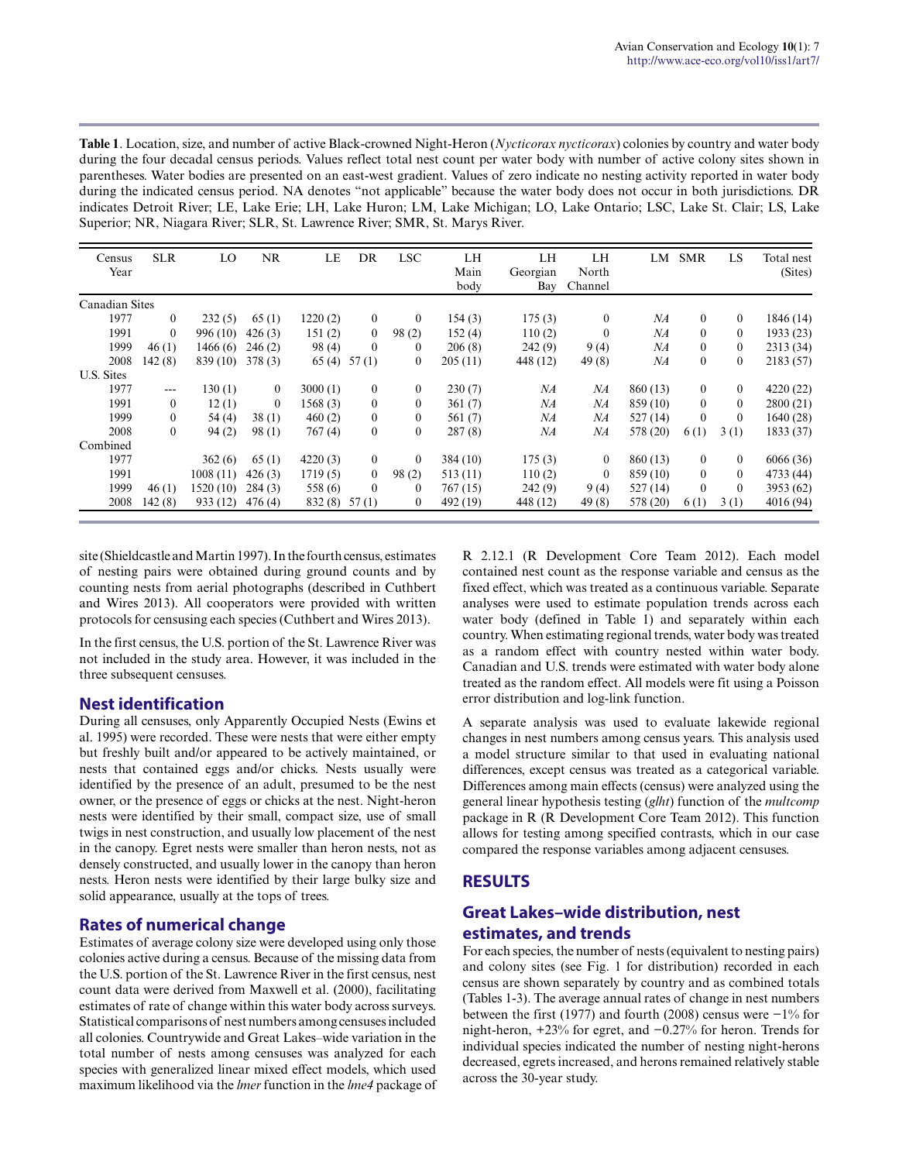**Table 1**. Location, size, and number of active Black-crowned Night-Heron (*Nycticorax nycticorax*) colonies by country and water body during the four decadal census periods. Values reflect total nest count per water body with number of active colony sites shown in parentheses. Water bodies are presented on an east-west gradient. Values of zero indicate no nesting activity reported in water body during the indicated census period. NA denotes "not applicable" because the water body does not occur in both jurisdictions. DR indicates Detroit River; LE, Lake Erie; LH, Lake Huron; LM, Lake Michigan; LO, Lake Ontario; LSC, Lake St. Clair; LS, Lake Superior; NR, Niagara River; SLR, St. Lawrence River; SMR, St. Marys River.

| Census<br>Year | <b>SLR</b>   | LO        | NR           | LE          | DR           | <b>LSC</b>   | LH<br>Main<br>body | LH<br>Georgian<br>Bay | LH<br>North<br>Channel | LM       | <b>SMR</b>     | LS       | Total nest<br>(Sites) |
|----------------|--------------|-----------|--------------|-------------|--------------|--------------|--------------------|-----------------------|------------------------|----------|----------------|----------|-----------------------|
| Canadian Sites |              |           |              |             |              |              |                    |                       |                        |          |                |          |                       |
| 1977           | $\mathbf{0}$ | 232(5)    | 65(1)        | 1220(2)     | $\mathbf{0}$ | $\mathbf{0}$ | 154(3)             | 175(3)                | $\bf{0}$               | NA       | $\theta$       | $\theta$ | 1846 (14)             |
| 1991           | $\mathbf{0}$ | 996 (10)  | 426(3)       | 151(2)      | $\mathbf{0}$ | 98(2)        | 152(4)             | 110(2)                | $\theta$               | NА       | $\theta$       | $\theta$ | 1933(23)              |
| 1999           | 46(1)        | 1466(6)   | 246(2)       | 98(4)       | $\theta$     | $\bf{0}$     | 206(8)             | 242(9)                | 9(4)                   | NA       | $\theta$       | 0        | 2313 (34)             |
| 2008           | 142(8)       | 839 (10)  | 378(3)       | 65(4) 57(1) |              | $\bf{0}$     | 205(11)            | 448 (12)              | 49(8)                  | NA       | $\overline{0}$ | $\theta$ | 2183 (57)             |
| U.S. Sites     |              |           |              |             |              |              |                    |                       |                        |          |                |          |                       |
| 1977           | $---$        | 130(1)    | $\mathbf{0}$ | 3000(1)     | $\mathbf{0}$ | $\mathbf{0}$ | 230(7)             | NA                    | NA                     | 860 (13) | $\theta$       | $\theta$ | 4220 (22)             |
| 1991           | $\mathbf{0}$ | 12(1)     | $\mathbf{0}$ | 1568(3)     | $\mathbf{0}$ | $\mathbf{0}$ | 361(7)             | NA                    | NA                     | 859 (10) | $\theta$       | $\theta$ | 2800(21)              |
| 1999           | $\mathbf{0}$ | 54 $(4)$  | 38(1)        | 460(2)      | $\mathbf{0}$ | $\mathbf{0}$ | 561(7)             | NA                    | NA                     | 527(14)  | $\theta$       | $\theta$ | 1640(28)              |
| 2008           | $\theta$     | 94(2)     | 98(1)        | 767(4)      | $\mathbf{0}$ | $\mathbf{0}$ | 287(8)             | NA                    | NA                     | 578 (20) | 6(1)           | 3(1)     | 1833 (37)             |
| Combined       |              |           |              |             |              |              |                    |                       |                        |          |                |          |                       |
| 1977           |              | 362(6)    | 65(1)        | 4220(3)     | $\mathbf{0}$ | $\theta$     | 384 (10)           | 175(3)                | $\theta$               | 860 (13) | $\theta$       | $\theta$ | 6066 (36)             |
| 1991           |              | 1008(11)  | 426(3)       | 1719(5)     | $\mathbf{0}$ | 98(2)        | 513(11)            | 110(2)                | $\theta$               | 859 (10) | $\Omega$       | $\theta$ | 4733 (44)             |
| 1999           | 46(1)        | 1520 (10) | 284(3)       | 558 (6)     | $\theta$     | $\theta$     | 767(15)            | 242(9)                | 9(4)                   | 527(14)  | $\theta$       | $\theta$ | 3953 (62)             |
| 2008           | 142(8)       | 933 (12)  | 476(4)       | 832(8)      | 57(1)        | $\mathbf{0}$ | 492 (19)           | 448 (12)              | 49(8)                  | 578 (20) | 6(1)           | 3(1)     | 4016 (94)             |

site (Shieldcastle and Martin 1997). In the fourth census, estimates of nesting pairs were obtained during ground counts and by counting nests from aerial photographs (described in Cuthbert and Wires 2013). All cooperators were provided with written protocols for censusing each species (Cuthbert and Wires 2013).

In the first census, the U.S. portion of the St. Lawrence River was not included in the study area. However, it was included in the three subsequent censuses.

# **Nest identification**

During all censuses, only Apparently Occupied Nests (Ewins et al. 1995) were recorded. These were nests that were either empty but freshly built and/or appeared to be actively maintained, or nests that contained eggs and/or chicks. Nests usually were identified by the presence of an adult, presumed to be the nest owner, or the presence of eggs or chicks at the nest. Night-heron nests were identified by their small, compact size, use of small twigs in nest construction, and usually low placement of the nest in the canopy. Egret nests were smaller than heron nests, not as densely constructed, and usually lower in the canopy than heron nests. Heron nests were identified by their large bulky size and solid appearance, usually at the tops of trees.

# **Rates of numerical change**

Estimates of average colony size were developed using only those colonies active during a census. Because of the missing data from the U.S. portion of the St. Lawrence River in the first census, nest count data were derived from Maxwell et al. (2000), facilitating estimates of rate of change within this water body across surveys. Statistical comparisons of nest numbers among censuses included all colonies. Countrywide and Great Lakes–wide variation in the total number of nests among censuses was analyzed for each species with generalized linear mixed effect models, which used maximum likelihood via the *lmer* function in the *lme4* package of R 2.12.1 (R Development Core Team 2012). Each model contained nest count as the response variable and census as the fixed effect, which was treated as a continuous variable. Separate analyses were used to estimate population trends across each water body (defined in Table 1) and separately within each country. When estimating regional trends, water body was treated as a random effect with country nested within water body. Canadian and U.S. trends were estimated with water body alone treated as the random effect. All models were fit using a Poisson error distribution and log-link function.

A separate analysis was used to evaluate lakewide regional changes in nest numbers among census years. This analysis used a model structure similar to that used in evaluating national differences, except census was treated as a categorical variable. Differences among main effects (census) were analyzed using the general linear hypothesis testing (*glht*) function of the *multcomp* package in R (R Development Core Team 2012). This function allows for testing among specified contrasts, which in our case compared the response variables among adjacent censuses.

# **RESULTS**

# **Great Lakes–wide distribution, nest estimates, and trends**

For each species, the number of nests (equivalent to nesting pairs) and colony sites (see Fig. 1 for distribution) recorded in each census are shown separately by country and as combined totals (Tables 1-3). The average annual rates of change in nest numbers between the first (1977) and fourth (2008) census were −1% for night-heron, +23% for egret, and −0.27% for heron. Trends for individual species indicated the number of nesting night-herons decreased, egrets increased, and herons remained relatively stable across the 30-year study.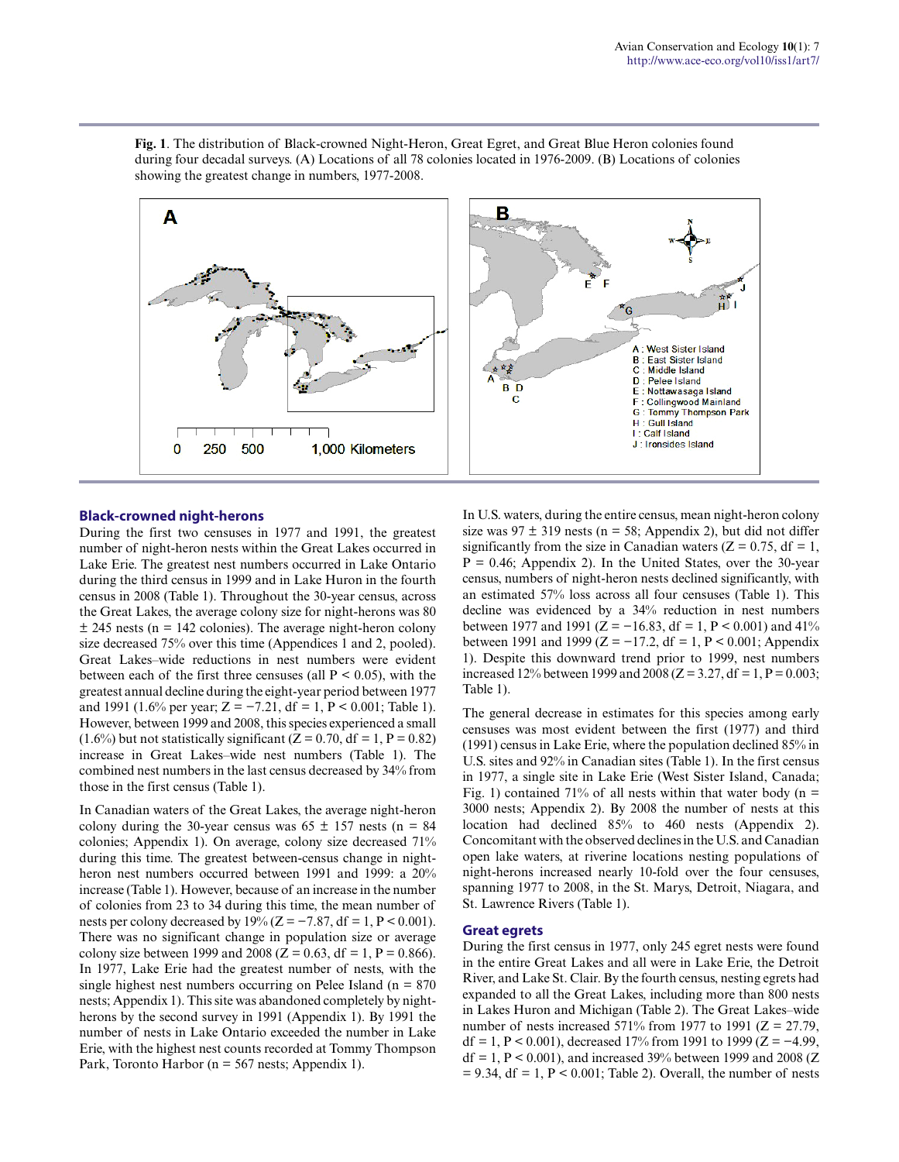

**Fig. 1**. The distribution of Black-crowned Night-Heron, Great Egret, and Great Blue Heron colonies found during four decadal surveys. (A) Locations of all 78 colonies located in 1976-2009. (B) Locations of colonies showing the greatest change in numbers, 1977-2008.

#### **Black-crowned night-herons**

During the first two censuses in 1977 and 1991, the greatest number of night-heron nests within the Great Lakes occurred in Lake Erie. The greatest nest numbers occurred in Lake Ontario during the third census in 1999 and in Lake Huron in the fourth census in 2008 (Table 1). Throughout the 30-year census, across the Great Lakes, the average colony size for night-herons was 80  $\pm$  245 nests (n = 142 colonies). The average night-heron colony size decreased 75% over this time (Appendices 1 and 2, pooled). Great Lakes–wide reductions in nest numbers were evident between each of the first three censuses (all  $P < 0.05$ ), with the greatest annual decline during the eight-year period between 1977 and 1991 (1.6% per year;  $Z = -7.21$ , df = 1, P < 0.001; Table 1). However, between 1999 and 2008, this species experienced a small  $(1.6\%)$  but not statistically significant  $(Z = 0.70, df = 1, P = 0.82)$ increase in Great Lakes–wide nest numbers (Table 1). The combined nest numbers in the last census decreased by 34% from those in the first census (Table 1).

In Canadian waters of the Great Lakes, the average night-heron colony during the 30-year census was  $65 \pm 157$  nests (n = 84) colonies; Appendix 1). On average, colony size decreased 71% during this time. The greatest between-census change in nightheron nest numbers occurred between 1991 and 1999: a 20% increase (Table 1). However, because of an increase in the number of colonies from 23 to 34 during this time, the mean number of nests per colony decreased by  $19\%$  (Z = -7.87, df = 1, P < 0.001). There was no significant change in population size or average colony size between 1999 and 2008 ( $Z = 0.63$ , df = 1, P = 0.866). In 1977, Lake Erie had the greatest number of nests, with the single highest nest numbers occurring on Pelee Island ( $n = 870$ ) nests; Appendix 1). This site was abandoned completely by nightherons by the second survey in 1991 (Appendix 1). By 1991 the number of nests in Lake Ontario exceeded the number in Lake Erie, with the highest nest counts recorded at Tommy Thompson Park, Toronto Harbor (n = 567 nests; Appendix 1).

In U.S. waters, during the entire census, mean night-heron colony size was  $97 \pm 319$  nests (n = 58; Appendix 2), but did not differ significantly from the size in Canadian waters  $(Z = 0.75, df = 1$ ,  $P = 0.46$ ; Appendix 2). In the United States, over the 30-year census, numbers of night-heron nests declined significantly, with an estimated 57% loss across all four censuses (Table 1). This decline was evidenced by a 34% reduction in nest numbers between 1977 and 1991 (Z = -16.83, df = 1, P < 0.001) and 41% between 1991 and 1999 (Z =  $-17.2$ , df = 1, P < 0.001; Appendix 1). Despite this downward trend prior to 1999, nest numbers increased 12% between 1999 and 2008 ( $Z = 3.27$ , df = 1, P = 0.003; Table 1).

The general decrease in estimates for this species among early censuses was most evident between the first (1977) and third (1991) census in Lake Erie, where the population declined 85% in U.S. sites and 92% in Canadian sites (Table 1). In the first census in 1977, a single site in Lake Erie (West Sister Island, Canada; Fig. 1) contained 71% of all nests within that water body ( $n =$ 3000 nests; Appendix 2). By 2008 the number of nests at this location had declined 85% to 460 nests (Appendix 2). Concomitant with the observed declines in the U.S. and Canadian open lake waters, at riverine locations nesting populations of night-herons increased nearly 10-fold over the four censuses, spanning 1977 to 2008, in the St. Marys, Detroit, Niagara, and St. Lawrence Rivers (Table 1).

#### **Great egrets**

During the first census in 1977, only 245 egret nests were found in the entire Great Lakes and all were in Lake Erie, the Detroit River, and Lake St. Clair. By the fourth census, nesting egrets had expanded to all the Great Lakes, including more than 800 nests in Lakes Huron and Michigan (Table 2). The Great Lakes–wide number of nests increased 571% from 1977 to 1991 ( $Z = 27.79$ , df = 1, P < 0.001), decreased 17% from 1991 to 1999 (Z =  $-4.99$ ,  $df = 1$ ,  $P < 0.001$ ), and increased 39% between 1999 and 2008 (Z  $= 9.34$ , df  $= 1$ ,  $P < 0.001$ ; Table 2). Overall, the number of nests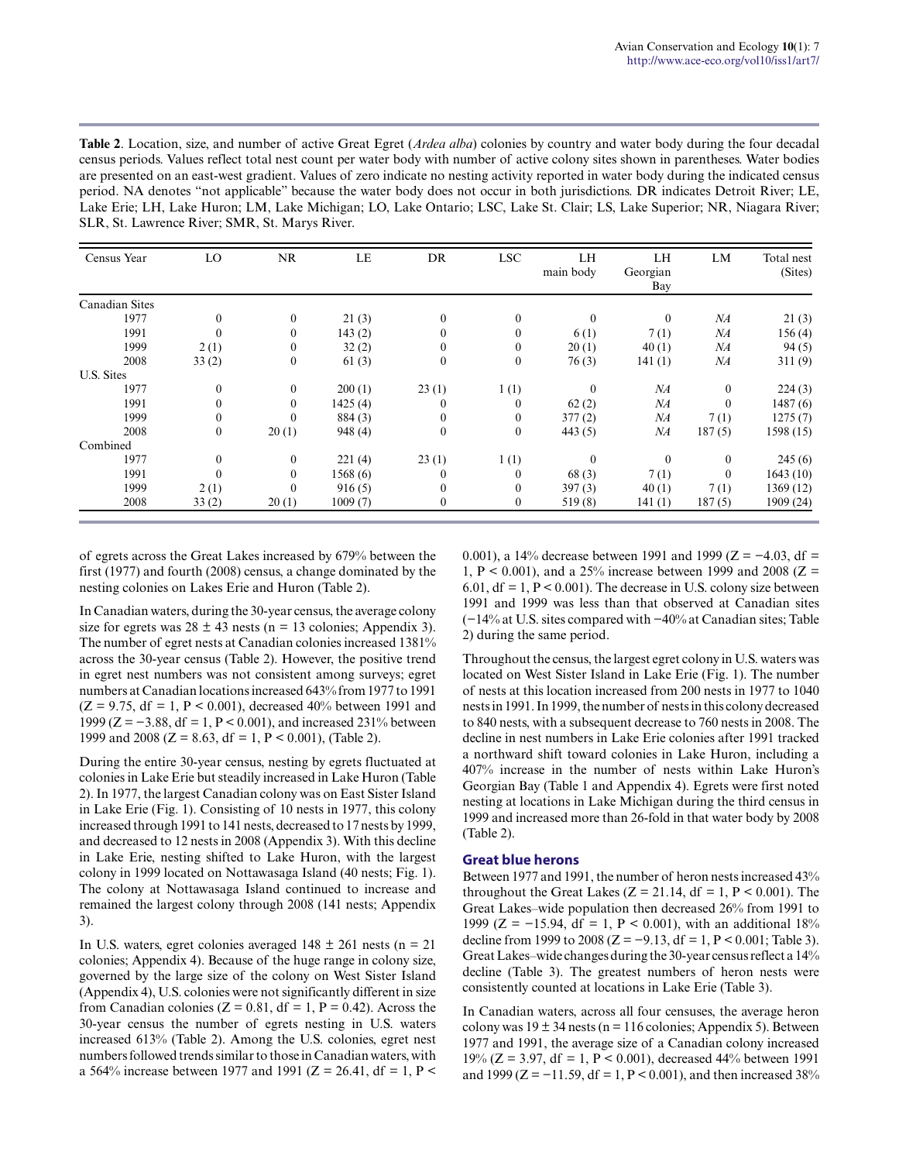| <b>Table 2.</b> Location, size, and number of active Great Egret ( <i>Ardea alba</i> ) colonies by country and water body during the four decadal |
|---------------------------------------------------------------------------------------------------------------------------------------------------|
| census periods. Values reflect total nest count per water body with number of active colony sites shown in parentheses. Water bodies              |
| are presented on an east-west gradient. Values of zero indicate no nesting activity reported in water body during the indicated census            |
| period. NA denotes "not applicable" because the water body does not occur in both jurisdictions. DR indicates Detroit River; LE,                  |
| Lake Erie; LH, Lake Huron; LM, Lake Michigan; LO, Lake Ontario; LSC, Lake St. Clair; LS, Lake Superior; NR, Niagara River;                        |
| SLR, St. Lawrence River; SMR, St. Marys River.                                                                                                    |

| Census Year    | LO               | <b>NR</b>      | LE      | DR           | <b>LSC</b>       | LH<br>main body | LH<br>Georgian<br>Bay | LM             | Total nest<br>(Sites) |
|----------------|------------------|----------------|---------|--------------|------------------|-----------------|-----------------------|----------------|-----------------------|
| Canadian Sites |                  |                |         |              |                  |                 |                       |                |                       |
| 1977           | $\boldsymbol{0}$ | $\overline{0}$ | 21(3)   | $\mathbf{0}$ | $\mathbf{0}$     | $\theta$        | $\mathbf{0}$          | NA             | 21(3)                 |
| 1991           | $\mathbf{0}$     | $\theta$       | 143(2)  | $\theta$     | $\mathbf{0}$     | 6(1)            | 7(1)                  | NA             | 156(4)                |
| 1999           | 2(1)             | $\mathbf{0}$   | 32(2)   | $\theta$     | $\mathbf{0}$     | 20(1)           | 40(1)                 | NA             | 94(5)                 |
| 2008           | 33(2)            | $\overline{0}$ | 61(3)   | $\mathbf{0}$ | $\mathbf{0}$     | 76(3)           | 141(1)                | NA             | 311(9)                |
| U.S. Sites     |                  |                |         |              |                  |                 |                       |                |                       |
| 1977           | $\boldsymbol{0}$ | $\overline{0}$ | 200(1)  | 23(1)        | 1(1)             | $\mathbf{0}$    | NA                    | $\overline{0}$ | 224(3)                |
| 1991           | $\boldsymbol{0}$ |                | 1425(4) |              | $\theta$         | 62(2)           | NA                    | $\theta$       | 1487(6)               |
| 1999           | $\boldsymbol{0}$ |                | 884(3)  | 0            | $\mathbf{0}$     | 377(2)          | NA                    | 7(1)           | 1275(7)               |
| 2008           | $\boldsymbol{0}$ | 20(1)          | 948 (4) | $\mathbf{0}$ | $\boldsymbol{0}$ | 443(5)          | NA                    | 187(5)         | 1598(15)              |
| Combined       |                  |                |         |              |                  |                 |                       |                |                       |
| 1977           | $\mathbf{0}$     | $\overline{0}$ | 221(4)  | 23(1)        | 1(1)             | $\Omega$        | $\theta$              | $\mathbf{0}$   | 245(6)                |
| 1991           | $\theta$         | $\theta$       | 1568(6) |              | $\mathbf{0}$     | 68(3)           | 7(1)                  | $\theta$       | 1643(10)              |
| 1999           | 2(1)             |                | 916(5)  | $\theta$     | $\mathbf{0}$     | 397(3)          | 40(1)                 | 7(1)           | 1369 (12)             |
| 2008           | 33(2)            | 20(1)          | 1009(7) | 0            | $\boldsymbol{0}$ | 519(8)          | 141(1)                | 187(5)         | 1909 (24)             |

of egrets across the Great Lakes increased by 679% between the first (1977) and fourth (2008) census, a change dominated by the nesting colonies on Lakes Erie and Huron (Table 2).

In Canadian waters, during the 30-year census, the average colony size for egrets was  $28 \pm 43$  nests (n = 13 colonies; Appendix 3). The number of egret nests at Canadian colonies increased 1381% across the 30-year census (Table 2). However, the positive trend in egret nest numbers was not consistent among surveys; egret numbers at Canadian locations increased 643% from 1977 to 1991  $(Z = 9.75, df = 1, P < 0.001)$ , decreased 40% between 1991 and 1999 (Z = −3.88, df = 1, P < 0.001), and increased 231% between 1999 and 2008 ( $Z = 8.63$ , df = 1, P < 0.001), (Table 2).

During the entire 30-year census, nesting by egrets fluctuated at colonies in Lake Erie but steadily increased in Lake Huron (Table 2). In 1977, the largest Canadian colony was on East Sister Island in Lake Erie (Fig. 1). Consisting of 10 nests in 1977, this colony increased through 1991 to 141 nests, decreased to 17 nests by 1999, and decreased to 12 nests in 2008 (Appendix 3). With this decline in Lake Erie, nesting shifted to Lake Huron, with the largest colony in 1999 located on Nottawasaga Island (40 nests; Fig. 1). The colony at Nottawasaga Island continued to increase and remained the largest colony through 2008 (141 nests; Appendix 3).

In U.S. waters, egret colonies averaged  $148 \pm 261$  nests (n = 21) colonies; Appendix 4). Because of the huge range in colony size, governed by the large size of the colony on West Sister Island (Appendix 4), U.S. colonies were not significantly different in size from Canadian colonies ( $Z = 0.81$ , df = 1, P = 0.42). Across the 30-year census the number of egrets nesting in U.S. waters increased 613% (Table 2). Among the U.S. colonies, egret nest numbers followed trends similar to those in Canadian waters, with a 564% increase between 1977 and 1991 ( $Z = 26.41$ , df = 1, P < 0.001), a 14% decrease between 1991 and 1999 (Z = −4.03, df = 1, P < 0.001), and a 25% increase between 1999 and 2008 ( $Z =$ 6.01,  $df = 1$ ,  $P < 0.001$ ). The decrease in U.S. colony size between 1991 and 1999 was less than that observed at Canadian sites (−14% at U.S. sites compared with −40% at Canadian sites; Table 2) during the same period.

Throughout the census, the largest egret colony in U.S. waters was located on West Sister Island in Lake Erie (Fig. 1). The number of nests at this location increased from 200 nests in 1977 to 1040 nests in 1991. In 1999, the number of nests in this colony decreased to 840 nests, with a subsequent decrease to 760 nests in 2008. The decline in nest numbers in Lake Erie colonies after 1991 tracked a northward shift toward colonies in Lake Huron, including a 407% increase in the number of nests within Lake Huron's Georgian Bay (Table 1 and Appendix 4). Egrets were first noted nesting at locations in Lake Michigan during the third census in 1999 and increased more than 26-fold in that water body by 2008 (Table 2).

#### **Great blue herons**

Between 1977 and 1991, the number of heron nests increased 43% throughout the Great Lakes ( $Z = 21.14$ , df = 1, P < 0.001). The Great Lakes–wide population then decreased 26% from 1991 to 1999 (Z =  $-15.94$ , df = 1, P < 0.001), with an additional 18% decline from 1999 to 2008 ( $Z = -9.13$ , df = 1, P < 0.001; Table 3). Great Lakes–wide changes during the 30-year census reflect a 14% decline (Table 3). The greatest numbers of heron nests were consistently counted at locations in Lake Erie (Table 3).

In Canadian waters, across all four censuses, the average heron colony was  $19 \pm 34$  nests (n = 116 colonies; Appendix 5). Between 1977 and 1991, the average size of a Canadian colony increased 19% ( $Z = 3.97$ , df = 1, P < 0.001), decreased 44% between 1991 and 1999 (Z =  $-11.59$ , df = 1, P < 0.001), and then increased 38%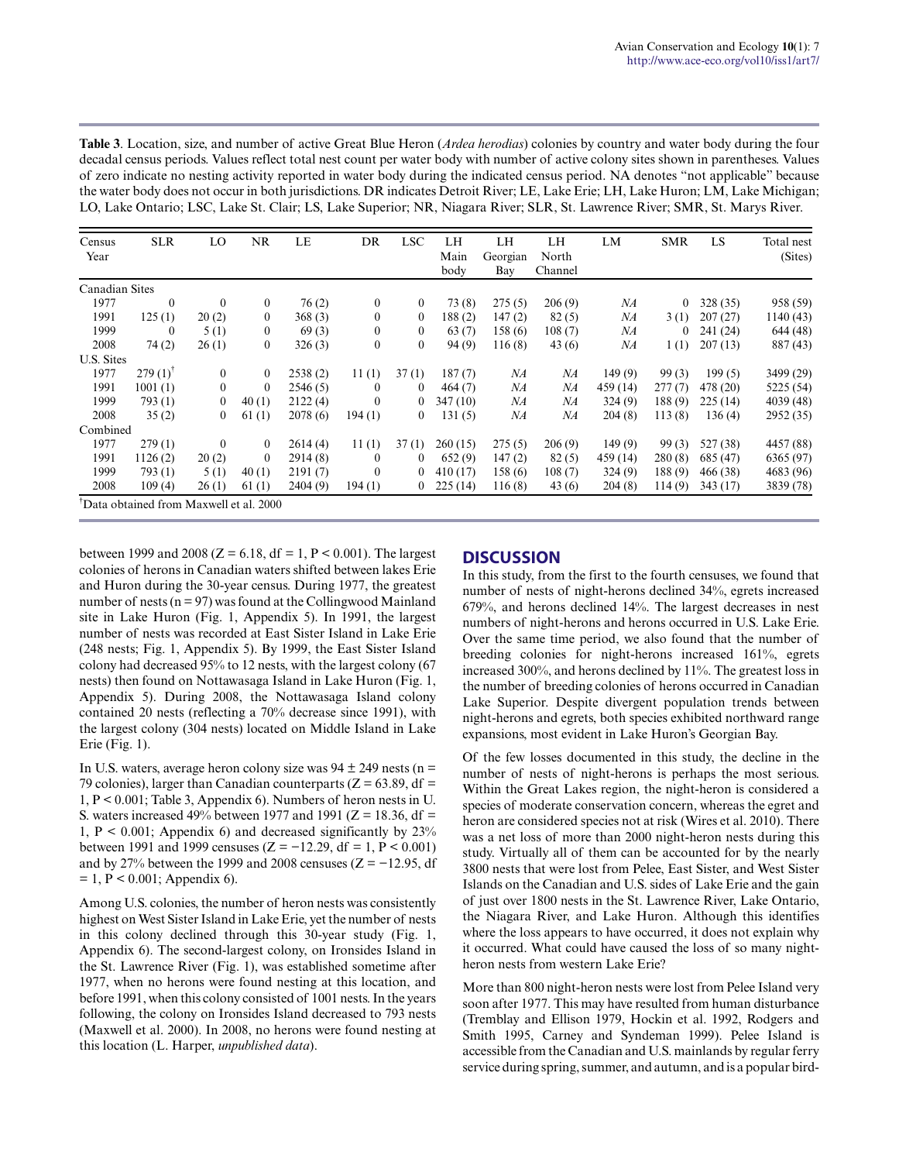**Table 3**. Location, size, and number of active Great Blue Heron (*Ardea herodias*) colonies by country and water body during the four decadal census periods. Values reflect total nest count per water body with number of active colony sites shown in parentheses. Values of zero indicate no nesting activity reported in water body during the indicated census period. NA denotes "not applicable" because the water body does not occur in both jurisdictions. DR indicates Detroit River; LE, Lake Erie; LH, Lake Huron; LM, Lake Michigan; LO, Lake Ontario; LSC, Lake St. Clair; LS, Lake Superior; NR, Niagara River; SLR, St. Lawrence River; SMR, St. Marys River.

| Census<br>Year | <b>SLR</b>                             | LO             | NR             | LE       | DR               | <b>LSC</b>     | LH<br>Main<br>body | LH<br>Georgian<br>Bay | LH<br>North<br>Channel | LM       | <b>SMR</b>   | LS       | Total nest<br>(Sites) |
|----------------|----------------------------------------|----------------|----------------|----------|------------------|----------------|--------------------|-----------------------|------------------------|----------|--------------|----------|-----------------------|
| Canadian Sites |                                        |                |                |          |                  |                |                    |                       |                        |          |              |          |                       |
| 1977           | $\mathbf{0}$                           | $\overline{0}$ | $\overline{0}$ | 76(2)    | $\mathbf{0}$     | $\overline{0}$ | 73(8)              | 275(5)                | 206(9)                 | NA       | $\mathbf{0}$ | 328(35)  | 958 (59)              |
| 1991           | 125(1)                                 | 20(2)          | $\mathbf{0}$   | 368(3)   | $\boldsymbol{0}$ | $\overline{0}$ | 188(2)             | 147(2)                | 82(5)                  | NA       | 3(1)         | 207(27)  | 1140 (43)             |
| 1999           | $\boldsymbol{0}$                       | 5(1)           | $\mathbf{0}$   | 69(3)    | $\mathbf{0}$     | $\mathbf{0}$   | 63(7)              | 158(6)                | 108(7)                 | NA       | 0            | 241 (24) | 644 (48)              |
| 2008           | 74 (2)                                 | 26(1)          | $\overline{0}$ | 326(3)   | $\bf{0}$         | $\overline{0}$ | 94(9)              | 116(8)                | 43(6)                  | NA       | 1(1)         | 207(13)  | 887 (43)              |
| U.S. Sites     |                                        |                |                |          |                  |                |                    |                       |                        |          |              |          |                       |
| 1977           | $279(1)$ <sup>T</sup>                  | $\overline{0}$ | $\overline{0}$ | 2538(2)  | 11(1)            | 37(1)          | 187(7)             | NA                    | NA                     | 149(9)   | 99(3)        | 199(5)   | 3499 (29)             |
| 1991           | 1001(1)                                | $\overline{0}$ | $\mathbf{0}$   | 2546(5)  | $\theta$         | $\theta$       | 464(7)             | NA                    | NA                     | 459 (14) | 277(7)       | 478 (20) | 5225 (54)             |
| 1999           | 793(1)                                 | $\overline{0}$ | 40(1)          | 2122(4)  | $\mathbf{0}$     | $\overline{0}$ | 347 (10)           | NA                    | NA                     | 324 (9)  | 188(9)       | 225(14)  | 4039 (48)             |
| 2008           | 35(2)                                  | $\bf{0}$       | 61(1)          | 2078(6)  | 194(1)           | $\overline{0}$ | 131(5)             | NA                    | NA                     | 204(8)   | 113(8)       | 136(4)   | 2952 (35)             |
| Combined       |                                        |                |                |          |                  |                |                    |                       |                        |          |              |          |                       |
| 1977           | 279(1)                                 | $\theta$       | $\overline{0}$ | 2614(4)  | 11(1)            | 37(1)          | 260(15)            | 275(5)                | 206(9)                 | 149(9)   | 99(3)        | 527 (38) | 4457 (88)             |
| 1991           | 1126(2)                                | 20(2)          | $\mathbf{0}$   | 2914(8)  | $\bf{0}$         | $\mathbf{0}$   | 652(9)             | 147(2)                | 82(5)                  | 459 (14) | 280(8)       | 685 (47) | 6365 (97)             |
| 1999           | 793 (1)                                | 5(1)           | 40(1)          | 2191(7)  | $\theta$         | $\overline{0}$ | 410(17)            | 158(6)                | 108(7)                 | 324(9)   | 188(9)       | 466 (38) | 4683 (96)             |
| 2008           | 109(4)                                 | 26(1)          | 61(1)          | 2404 (9) | 194(1)           | $\bf{0}$       | 225(14)            | 116(8)                | 43(6)                  | 204(8)   | 114(9)       | 343(17)  | 3839 (78)             |
|                | Data obtained from Maxwell et al. 2000 |                |                |          |                  |                |                    |                       |                        |          |              |          |                       |

between 1999 and 2008 ( $Z = 6.18$ , df = 1, P < 0.001). The largest colonies of herons in Canadian waters shifted between lakes Erie and Huron during the 30-year census. During 1977, the greatest number of nests ( $n = 97$ ) was found at the Collingwood Mainland site in Lake Huron (Fig. 1, Appendix 5). In 1991, the largest number of nests was recorded at East Sister Island in Lake Erie (248 nests; Fig. 1, Appendix 5). By 1999, the East Sister Island colony had decreased 95% to 12 nests, with the largest colony (67 nests) then found on Nottawasaga Island in Lake Huron (Fig. 1, Appendix 5). During 2008, the Nottawasaga Island colony contained 20 nests (reflecting a 70% decrease since 1991), with the largest colony (304 nests) located on Middle Island in Lake Erie (Fig. 1).

In U.S. waters, average heron colony size was  $94 \pm 249$  nests (n = 79 colonies), larger than Canadian counterparts ( $Z = 63.89$ , df = 1, P < 0.001; Table 3, Appendix 6). Numbers of heron nests in U. S. waters increased 49% between 1977 and 1991 ( $Z = 18.36$ , df = 1,  $P < 0.001$ ; Appendix 6) and decreased significantly by  $23\%$ between 1991 and 1999 censuses ( $Z = -12.29$ , df = 1, P < 0.001) and by 27% between the 1999 and 2008 censuses ( $Z = -12.95$ , df  $= 1, P < 0.001$ ; Appendix 6).

Among U.S. colonies, the number of heron nests was consistently highest on West Sister Island in Lake Erie, yet the number of nests in this colony declined through this 30-year study (Fig. 1, Appendix 6). The second-largest colony, on Ironsides Island in the St. Lawrence River (Fig. 1), was established sometime after 1977, when no herons were found nesting at this location, and before 1991, when this colony consisted of 1001 nests. In the years following, the colony on Ironsides Island decreased to 793 nests (Maxwell et al. 2000). In 2008, no herons were found nesting at this location (L. Harper, *unpublished data*).

# **DISCUSSION**

In this study, from the first to the fourth censuses, we found that number of nests of night-herons declined 34%, egrets increased 679%, and herons declined 14%. The largest decreases in nest numbers of night-herons and herons occurred in U.S. Lake Erie. Over the same time period, we also found that the number of breeding colonies for night-herons increased 161%, egrets increased 300%, and herons declined by 11%. The greatest loss in the number of breeding colonies of herons occurred in Canadian Lake Superior. Despite divergent population trends between night-herons and egrets, both species exhibited northward range expansions, most evident in Lake Huron's Georgian Bay.

Of the few losses documented in this study, the decline in the number of nests of night-herons is perhaps the most serious. Within the Great Lakes region, the night-heron is considered a species of moderate conservation concern, whereas the egret and heron are considered species not at risk (Wires et al. 2010). There was a net loss of more than 2000 night-heron nests during this study. Virtually all of them can be accounted for by the nearly 3800 nests that were lost from Pelee, East Sister, and West Sister Islands on the Canadian and U.S. sides of Lake Erie and the gain of just over 1800 nests in the St. Lawrence River, Lake Ontario, the Niagara River, and Lake Huron. Although this identifies where the loss appears to have occurred, it does not explain why it occurred. What could have caused the loss of so many nightheron nests from western Lake Erie?

More than 800 night-heron nests were lost from Pelee Island very soon after 1977. This may have resulted from human disturbance (Tremblay and Ellison 1979, Hockin et al. 1992, Rodgers and Smith 1995, Carney and Syndeman 1999). Pelee Island is accessible from the Canadian and U.S. mainlands by regular ferry service during spring, summer, and autumn, and is a popular bird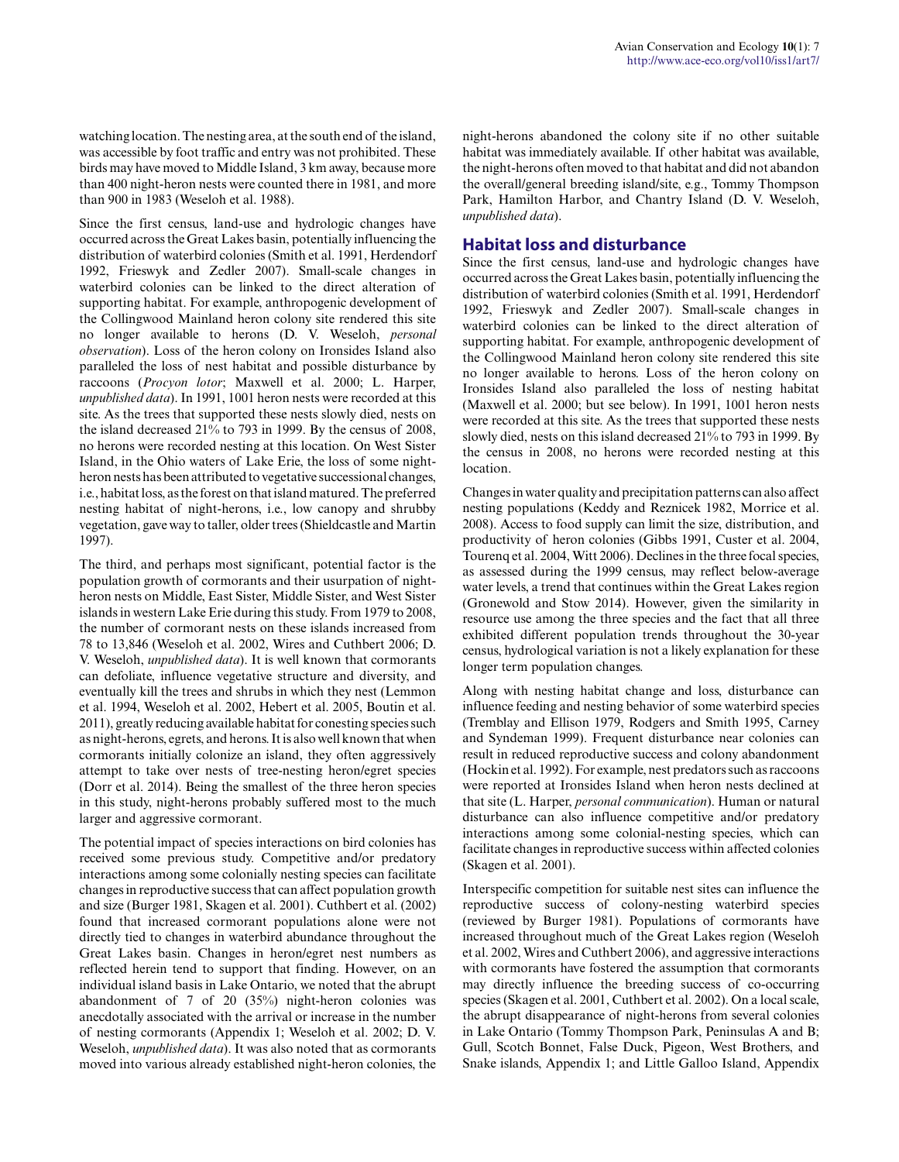watching location. The nesting area, at the south end of the island, was accessible by foot traffic and entry was not prohibited. These birds may have moved to Middle Island, 3 km away, because more than 400 night-heron nests were counted there in 1981, and more than 900 in 1983 (Weseloh et al. 1988).

Since the first census, land-use and hydrologic changes have occurred across the Great Lakes basin, potentially influencing the distribution of waterbird colonies (Smith et al. 1991, Herdendorf 1992, Frieswyk and Zedler 2007). Small-scale changes in waterbird colonies can be linked to the direct alteration of supporting habitat. For example, anthropogenic development of the Collingwood Mainland heron colony site rendered this site no longer available to herons (D. V. Weseloh, *personal observation*). Loss of the heron colony on Ironsides Island also paralleled the loss of nest habitat and possible disturbance by raccoons (*Procyon lotor*; Maxwell et al. 2000; L. Harper, *unpublished data*). In 1991, 1001 heron nests were recorded at this site. As the trees that supported these nests slowly died, nests on the island decreased 21% to 793 in 1999. By the census of 2008, no herons were recorded nesting at this location. On West Sister Island, in the Ohio waters of Lake Erie, the loss of some nightheron nests has been attributed to vegetative successional changes, i.e., habitat loss, as the forest on that island matured. The preferred nesting habitat of night-herons, i.e., low canopy and shrubby vegetation, gave way to taller, older trees (Shieldcastle and Martin 1997).

The third, and perhaps most significant, potential factor is the population growth of cormorants and their usurpation of nightheron nests on Middle, East Sister, Middle Sister, and West Sister islands in western Lake Erie during this study. From 1979 to 2008, the number of cormorant nests on these islands increased from 78 to 13,846 (Weseloh et al. 2002, Wires and Cuthbert 2006; D. V. Weseloh, *unpublished data*). It is well known that cormorants can defoliate, influence vegetative structure and diversity, and eventually kill the trees and shrubs in which they nest (Lemmon et al. 1994, Weseloh et al. 2002, Hebert et al. 2005, Boutin et al. 2011), greatly reducing available habitat for conesting species such as night-herons, egrets, and herons. It is also well known that when cormorants initially colonize an island, they often aggressively attempt to take over nests of tree-nesting heron/egret species (Dorr et al. 2014). Being the smallest of the three heron species in this study, night-herons probably suffered most to the much larger and aggressive cormorant.

The potential impact of species interactions on bird colonies has received some previous study. Competitive and/or predatory interactions among some colonially nesting species can facilitate changes in reproductive success that can affect population growth and size (Burger 1981, Skagen et al. 2001). Cuthbert et al. (2002) found that increased cormorant populations alone were not directly tied to changes in waterbird abundance throughout the Great Lakes basin. Changes in heron/egret nest numbers as reflected herein tend to support that finding. However, on an individual island basis in Lake Ontario, we noted that the abrupt abandonment of 7 of 20 (35%) night-heron colonies was anecdotally associated with the arrival or increase in the number of nesting cormorants (Appendix 1; Weseloh et al. 2002; D. V. Weseloh, *unpublished data*). It was also noted that as cormorants moved into various already established night-heron colonies, the night-herons abandoned the colony site if no other suitable habitat was immediately available. If other habitat was available, the night-herons often moved to that habitat and did not abandon the overall/general breeding island/site, e.g., Tommy Thompson Park, Hamilton Harbor, and Chantry Island (D. V. Weseloh, *unpublished data*).

### **Habitat loss and disturbance**

Since the first census, land-use and hydrologic changes have occurred across the Great Lakes basin, potentially influencing the distribution of waterbird colonies (Smith et al. 1991, Herdendorf 1992, Frieswyk and Zedler 2007). Small-scale changes in waterbird colonies can be linked to the direct alteration of supporting habitat. For example, anthropogenic development of the Collingwood Mainland heron colony site rendered this site no longer available to herons. Loss of the heron colony on Ironsides Island also paralleled the loss of nesting habitat (Maxwell et al. 2000; but see below). In 1991, 1001 heron nests were recorded at this site. As the trees that supported these nests slowly died, nests on this island decreased 21% to 793 in 1999. By the census in 2008, no herons were recorded nesting at this location.

Changes in water quality and precipitation patterns can also affect nesting populations (Keddy and Reznicek 1982, Morrice et al. 2008). Access to food supply can limit the size, distribution, and productivity of heron colonies (Gibbs 1991, Custer et al. 2004, Tourenq et al. 2004, Witt 2006). Declines in the three focal species, as assessed during the 1999 census, may reflect below-average water levels, a trend that continues within the Great Lakes region (Gronewold and Stow 2014). However, given the similarity in resource use among the three species and the fact that all three exhibited different population trends throughout the 30-year census, hydrological variation is not a likely explanation for these longer term population changes.

Along with nesting habitat change and loss, disturbance can influence feeding and nesting behavior of some waterbird species (Tremblay and Ellison 1979, Rodgers and Smith 1995, Carney and Syndeman 1999). Frequent disturbance near colonies can result in reduced reproductive success and colony abandonment (Hockin et al. 1992). For example, nest predators such as raccoons were reported at Ironsides Island when heron nests declined at that site (L. Harper, *personal communication*). Human or natural disturbance can also influence competitive and/or predatory interactions among some colonial-nesting species, which can facilitate changes in reproductive success within affected colonies (Skagen et al. 2001).

Interspecific competition for suitable nest sites can influence the reproductive success of colony-nesting waterbird species (reviewed by Burger 1981). Populations of cormorants have increased throughout much of the Great Lakes region (Weseloh et al. 2002, Wires and Cuthbert 2006), and aggressive interactions with cormorants have fostered the assumption that cormorants may directly influence the breeding success of co-occurring species (Skagen et al. 2001, Cuthbert et al. 2002). On a local scale, the abrupt disappearance of night-herons from several colonies in Lake Ontario (Tommy Thompson Park, Peninsulas A and B; Gull, Scotch Bonnet, False Duck, Pigeon, West Brothers, and Snake islands, Appendix 1; and Little Galloo Island, Appendix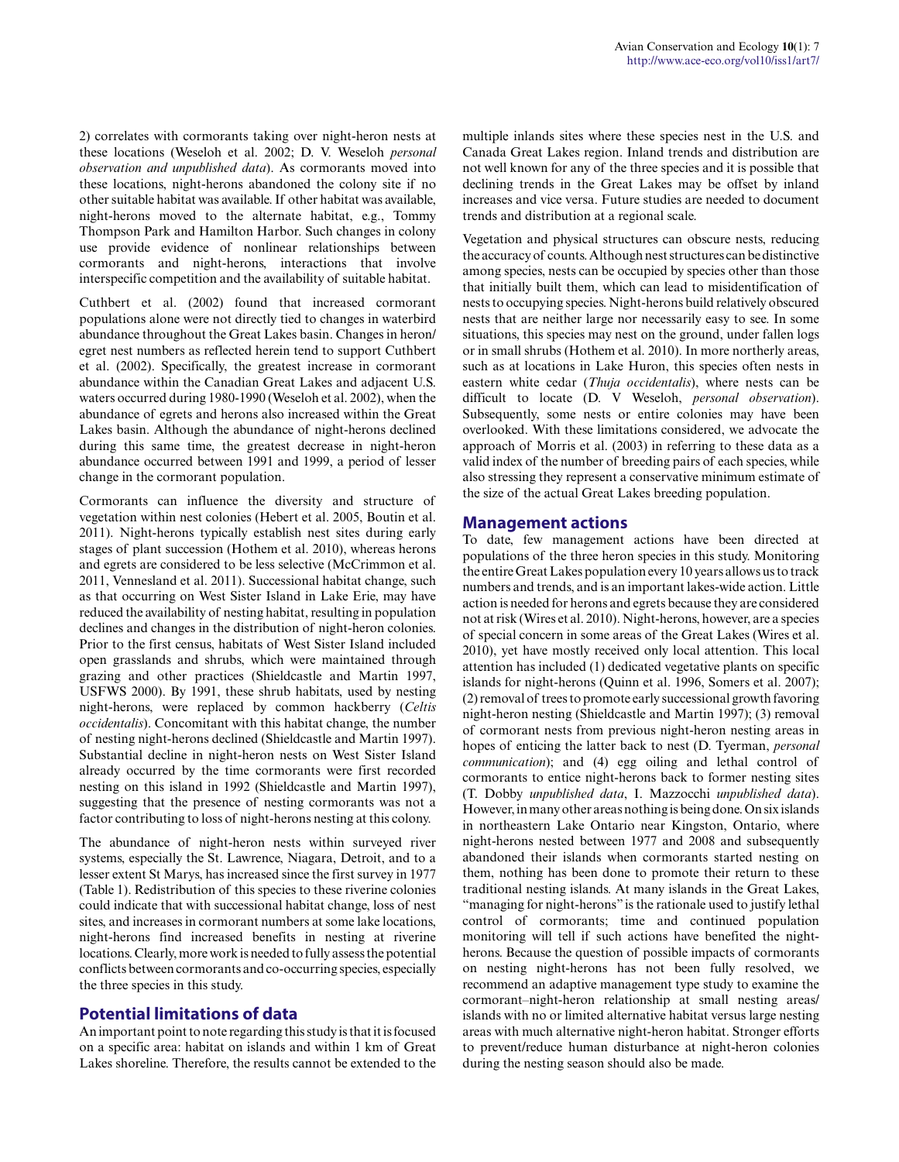2) correlates with cormorants taking over night-heron nests at these locations (Weseloh et al. 2002; D. V. Weseloh *personal observation and unpublished data*). As cormorants moved into these locations, night-herons abandoned the colony site if no other suitable habitat was available. If other habitat was available, night-herons moved to the alternate habitat, e.g., Tommy Thompson Park and Hamilton Harbor. Such changes in colony use provide evidence of nonlinear relationships between cormorants and night-herons, interactions that involve interspecific competition and the availability of suitable habitat.

Cuthbert et al. (2002) found that increased cormorant populations alone were not directly tied to changes in waterbird abundance throughout the Great Lakes basin. Changes in heron/ egret nest numbers as reflected herein tend to support Cuthbert et al. (2002). Specifically, the greatest increase in cormorant abundance within the Canadian Great Lakes and adjacent U.S. waters occurred during 1980-1990 (Weseloh et al. 2002), when the abundance of egrets and herons also increased within the Great Lakes basin. Although the abundance of night-herons declined during this same time, the greatest decrease in night-heron abundance occurred between 1991 and 1999, a period of lesser change in the cormorant population.

Cormorants can influence the diversity and structure of vegetation within nest colonies (Hebert et al. 2005, Boutin et al. 2011). Night-herons typically establish nest sites during early stages of plant succession (Hothem et al. 2010), whereas herons and egrets are considered to be less selective (McCrimmon et al. 2011, Vennesland et al. 2011). Successional habitat change, such as that occurring on West Sister Island in Lake Erie, may have reduced the availability of nesting habitat, resulting in population declines and changes in the distribution of night-heron colonies. Prior to the first census, habitats of West Sister Island included open grasslands and shrubs, which were maintained through grazing and other practices (Shieldcastle and Martin 1997, USFWS 2000). By 1991, these shrub habitats, used by nesting night-herons, were replaced by common hackberry (*Celtis occidentalis*). Concomitant with this habitat change, the number of nesting night-herons declined (Shieldcastle and Martin 1997). Substantial decline in night-heron nests on West Sister Island already occurred by the time cormorants were first recorded nesting on this island in 1992 (Shieldcastle and Martin 1997), suggesting that the presence of nesting cormorants was not a factor contributing to loss of night-herons nesting at this colony.

The abundance of night-heron nests within surveyed river systems, especially the St. Lawrence, Niagara, Detroit, and to a lesser extent St Marys, has increased since the first survey in 1977 (Table 1). Redistribution of this species to these riverine colonies could indicate that with successional habitat change, loss of nest sites, and increases in cormorant numbers at some lake locations, night-herons find increased benefits in nesting at riverine locations. Clearly, more work is needed to fully assess the potential conflicts between cormorants and co-occurring species, especially the three species in this study.

# **Potential limitations of data**

An important point to note regarding this study is that it is focused on a specific area: habitat on islands and within 1 km of Great Lakes shoreline. Therefore, the results cannot be extended to the multiple inlands sites where these species nest in the U.S. and Canada Great Lakes region. Inland trends and distribution are not well known for any of the three species and it is possible that declining trends in the Great Lakes may be offset by inland increases and vice versa. Future studies are needed to document trends and distribution at a regional scale.

Vegetation and physical structures can obscure nests, reducing the accuracy of counts. Although nest structures can be distinctive among species, nests can be occupied by species other than those that initially built them, which can lead to misidentification of nests to occupying species. Night-herons build relatively obscured nests that are neither large nor necessarily easy to see. In some situations, this species may nest on the ground, under fallen logs or in small shrubs (Hothem et al. 2010). In more northerly areas, such as at locations in Lake Huron, this species often nests in eastern white cedar (*Thuja occidentalis*), where nests can be difficult to locate (D. V Weseloh, *personal observation*). Subsequently, some nests or entire colonies may have been overlooked. With these limitations considered, we advocate the approach of Morris et al. (2003) in referring to these data as a valid index of the number of breeding pairs of each species, while also stressing they represent a conservative minimum estimate of the size of the actual Great Lakes breeding population.

#### **Management actions**

To date, few management actions have been directed at populations of the three heron species in this study. Monitoring the entire Great Lakes population every 10 years allows us to track numbers and trends, and is an important lakes-wide action. Little action is needed for herons and egrets because they are considered not at risk (Wires et al. 2010). Night-herons, however, are a species of special concern in some areas of the Great Lakes (Wires et al. 2010), yet have mostly received only local attention. This local attention has included (1) dedicated vegetative plants on specific islands for night-herons (Quinn et al. 1996, Somers et al. 2007); (2) removal of trees to promote early successional growth favoring night-heron nesting (Shieldcastle and Martin 1997); (3) removal of cormorant nests from previous night-heron nesting areas in hopes of enticing the latter back to nest (D. Tyerman, *personal communication*); and (4) egg oiling and lethal control of cormorants to entice night-herons back to former nesting sites (T. Dobby *unpublished data*, I. Mazzocchi *unpublished data*). However, in many other areas nothing is being done. On six islands in northeastern Lake Ontario near Kingston, Ontario, where night-herons nested between 1977 and 2008 and subsequently abandoned their islands when cormorants started nesting on them, nothing has been done to promote their return to these traditional nesting islands. At many islands in the Great Lakes, "managing for night-herons" is the rationale used to justify lethal control of cormorants; time and continued population monitoring will tell if such actions have benefited the nightherons. Because the question of possible impacts of cormorants on nesting night-herons has not been fully resolved, we recommend an adaptive management type study to examine the cormorant–night-heron relationship at small nesting areas/ islands with no or limited alternative habitat versus large nesting areas with much alternative night-heron habitat. Stronger efforts to prevent/reduce human disturbance at night-heron colonies during the nesting season should also be made.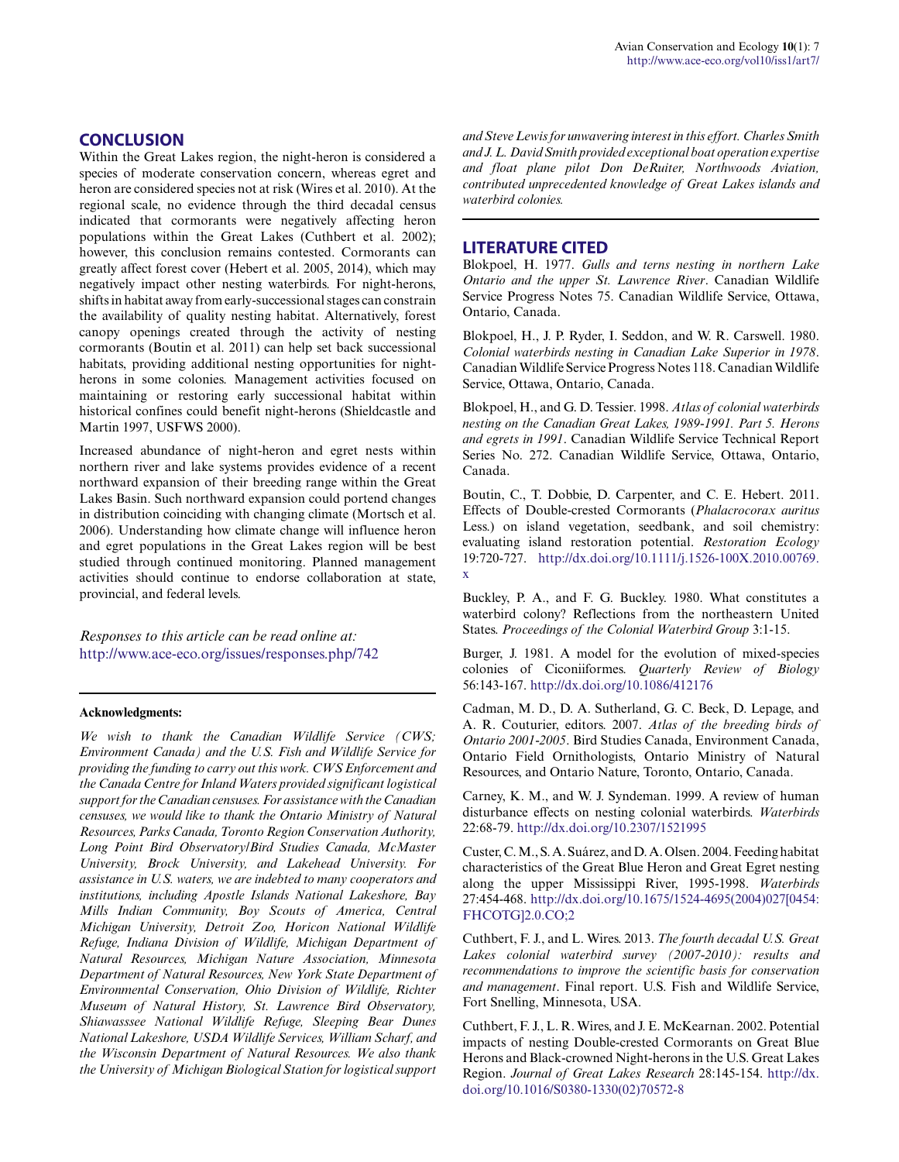## **CONCLUSION**

Within the Great Lakes region, the night-heron is considered a species of moderate conservation concern, whereas egret and heron are considered species not at risk (Wires et al. 2010). At the regional scale, no evidence through the third decadal census indicated that cormorants were negatively affecting heron populations within the Great Lakes (Cuthbert et al. 2002); however, this conclusion remains contested. Cormorants can greatly affect forest cover (Hebert et al. 2005, 2014), which may negatively impact other nesting waterbirds. For night-herons, shifts in habitat away from early-successional stages can constrain the availability of quality nesting habitat. Alternatively, forest canopy openings created through the activity of nesting cormorants (Boutin et al. 2011) can help set back successional habitats, providing additional nesting opportunities for nightherons in some colonies. Management activities focused on maintaining or restoring early successional habitat within historical confines could benefit night-herons (Shieldcastle and Martin 1997, USFWS 2000).

Increased abundance of night-heron and egret nests within northern river and lake systems provides evidence of a recent northward expansion of their breeding range within the Great Lakes Basin. Such northward expansion could portend changes in distribution coinciding with changing climate (Mortsch et al. 2006). Understanding how climate change will influence heron and egret populations in the Great Lakes region will be best studied through continued monitoring. Planned management activities should continue to endorse collaboration at state, provincial, and federal levels.

*Responses to this article can be read online at:* <http://www.ace-eco.org/issues/responses.php/742>

#### **Acknowledgments:**

*We wish to thank the Canadian Wildlife Service (CWS; Environment Canada) and the U.S. Fish and Wildlife Service for providing the funding to carry out this work. CWS Enforcement and the Canada Centre for Inland Waters provided significant logistical support for the Canadian censuses. For assistance with the Canadian censuses, we would like to thank the Ontario Ministry of Natural Resources, Parks Canada, Toronto Region Conservation Authority, Long Point Bird Observatory/Bird Studies Canada, McMaster University, Brock University, and Lakehead University. For assistance in U.S. waters, we are indebted to many cooperators and institutions, including Apostle Islands National Lakeshore, Bay Mills Indian Community, Boy Scouts of America, Central Michigan University, Detroit Zoo, Horicon National Wildlife Refuge, Indiana Division of Wildlife, Michigan Department of Natural Resources, Michigan Nature Association, Minnesota Department of Natural Resources, New York State Department of Environmental Conservation, Ohio Division of Wildlife, Richter Museum of Natural History, St. Lawrence Bird Observatory, Shiawasssee National Wildlife Refuge, Sleeping Bear Dunes National Lakeshore, USDA Wildlife Services, William Scharf, and the Wisconsin Department of Natural Resources. We also thank the University of Michigan Biological Station for logistical support*

*and Steve Lewis for unwavering interest in this effort. Charles Smith and J. L. David Smith provided exceptional boat operation expertise and float plane pilot Don DeRuiter, Northwoods Aviation, contributed unprecedented knowledge of Great Lakes islands and waterbird colonies.*

#### **LITERATURE CITED**

Blokpoel, H. 1977. *Gulls and terns nesting in northern Lake Ontario and the upper St. Lawrence River*. Canadian Wildlife Service Progress Notes 75. Canadian Wildlife Service, Ottawa, Ontario, Canada.

Blokpoel, H., J. P. Ryder, I. Seddon, and W. R. Carswell. 1980. *Colonial waterbirds nesting in Canadian Lake Superior in 1978*. Canadian Wildlife Service Progress Notes 118. Canadian Wildlife Service, Ottawa, Ontario, Canada.

Blokpoel, H., and G. D. Tessier. 1998. *Atlas of colonial waterbirds nesting on the Canadian Great Lakes, 1989-1991. Part 5. Herons and egrets in 1991*. Canadian Wildlife Service Technical Report Series No. 272. Canadian Wildlife Service, Ottawa, Ontario, Canada.

Boutin, C., T. Dobbie, D. Carpenter, and C. E. Hebert. 2011. Effects of Double-crested Cormorants (*Phalacrocorax auritus* Less.) on island vegetation, seedbank, and soil chemistry: evaluating island restoration potential. *Restoration Ecology* 19:720-727. [http://dx.doi.org/10.1111/j.1526-100X.2010.00769.](http://dx.doi.org/10.1111%2Fj.1526-100X.2010.00769.x) [x](http://dx.doi.org/10.1111%2Fj.1526-100X.2010.00769.x) 

Buckley, P. A., and F. G. Buckley. 1980. What constitutes a waterbird colony? Reflections from the northeastern United States. *Proceedings of the Colonial Waterbird Group* 3:1-15.

Burger, J. 1981. A model for the evolution of mixed-species colonies of Ciconiiformes. *Quarterly Review of Biology* 56:143-167. [http://dx.doi.org/10.1086/412176](http://dx.doi.org/10.1086%2F412176)

Cadman, M. D., D. A. Sutherland, G. C. Beck, D. Lepage, and A. R. Couturier, editors. 2007. *Atlas of the breeding birds of Ontario 2001-2005*. Bird Studies Canada, Environment Canada, Ontario Field Ornithologists, Ontario Ministry of Natural Resources, and Ontario Nature, Toronto, Ontario, Canada.

Carney, K. M., and W. J. Syndeman. 1999. A review of human disturbance effects on nesting colonial waterbirds. *Waterbirds* 22:68-79. [http://dx.doi.org/10.2307/1521995](http://dx.doi.org/10.2307%2F1521995) 

Custer, C. M., S. A. Suárez, and D. A. Olsen. 2004. Feeding habitat characteristics of the Great Blue Heron and Great Egret nesting along the upper Mississippi River, 1995-1998. *Waterbirds* 27:454-468. [http://dx.doi.org/10.1675/1524-4695\(2004\)027\[0454:](http://dx.doi.org/10.1675%2F1524-4695%282004%29027%5B0454%3AFHCOTG%5D2.0.CO%3B2) [FHCOTG\]2.0.CO;2](http://dx.doi.org/10.1675%2F1524-4695%282004%29027%5B0454%3AFHCOTG%5D2.0.CO%3B2)

Cuthbert, F. J., and L. Wires. 2013. *The fourth decadal U.S. Great Lakes colonial waterbird survey (2007-2010): results and recommendations to improve the scientific basis for conservation and management*. Final report. U.S. Fish and Wildlife Service, Fort Snelling, Minnesota, USA.

Cuthbert, F. J., L. R. Wires, and J. E. McKearnan. 2002. Potential impacts of nesting Double-crested Cormorants on Great Blue Herons and Black-crowned Night-herons in the U.S. Great Lakes Region. *Journal of Great Lakes Research* 28:145-154. [http://dx.](http://dx.doi.org/10.1016%2FS0380-1330%2802%2970572-8) [doi.org/10.1016/S0380-1330\(02\)70572-8](http://dx.doi.org/10.1016%2FS0380-1330%2802%2970572-8)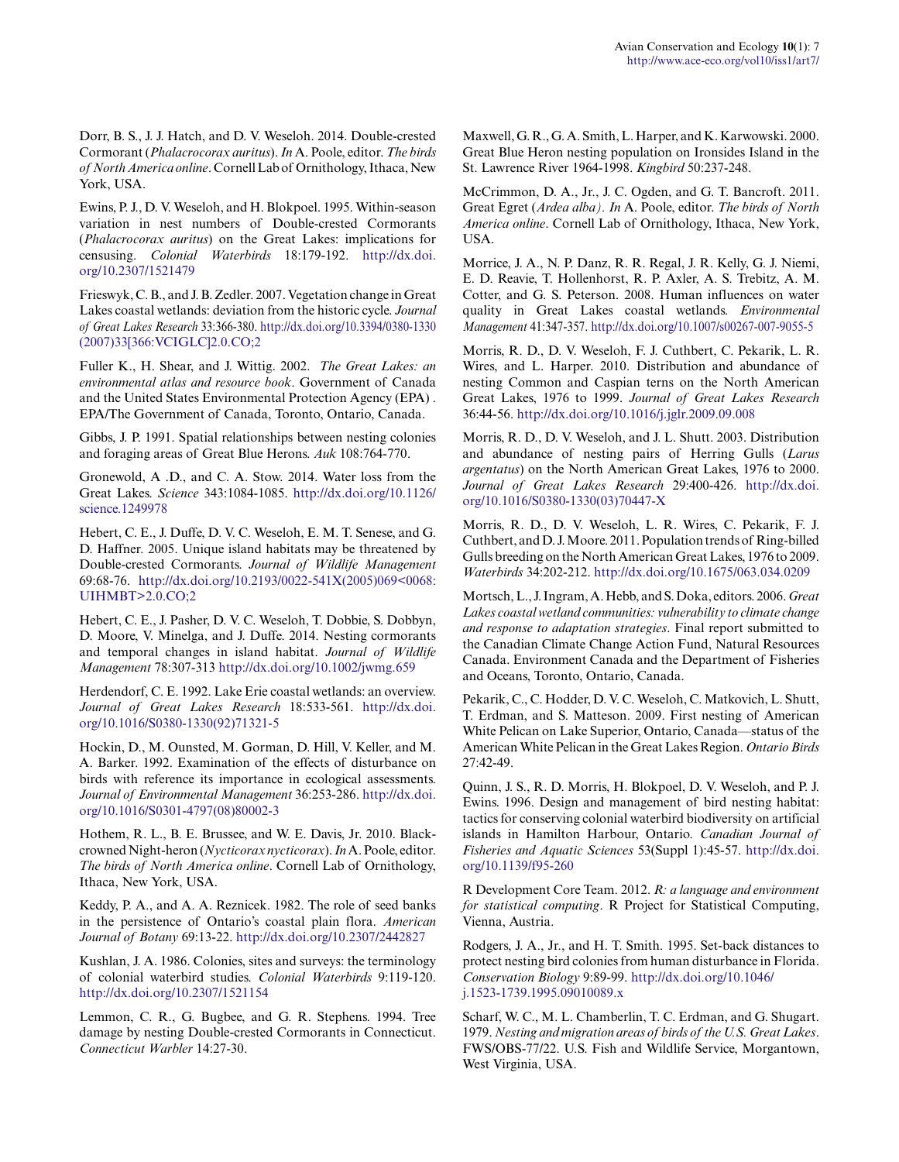Dorr, B. S., J. J. Hatch, and D. V. Weseloh. 2014. Double-crested Cormorant (*Phalacrocorax auritus*). *In* A. Poole, editor. *The birds of North America online*. Cornell Lab of Ornithology, Ithaca, New York, USA.

Ewins, P. J., D. V. Weseloh, and H. Blokpoel. 1995. Within-season variation in nest numbers of Double-crested Cormorants (*Phalacrocorax auritus*) on the Great Lakes: implications for censusing. *Colonial Waterbirds* 18:179-192. [http://dx.doi.](http://dx.doi.org/10.2307%2F1521479) [org/10.2307/1521479](http://dx.doi.org/10.2307%2F1521479) 

Frieswyk, C. B., and J. B. Zedler. 2007. Vegetation change in Great Lakes coastal wetlands: deviation from the historic cycle. *Journal of Great Lakes Research* 33:366-380. [http://dx.doi.org/10.3394/0380-1330](http://dx.doi.org/10.3394%2F0380-1330%282007%2933%5B366%3AVCIGLC%5D2.0.CO%3B2) [\(2007\)33\[366:VCIGLC\]2.0.CO;2](http://dx.doi.org/10.3394%2F0380-1330%282007%2933%5B366%3AVCIGLC%5D2.0.CO%3B2) 

Fuller K., H. Shear, and J. Wittig. 2002. *The Great Lakes: an environmental atlas and resource book*. Government of Canada and the United States Environmental Protection Agency (EPA) . EPA/The Government of Canada, Toronto, Ontario, Canada.

Gibbs, J. P. 1991. Spatial relationships between nesting colonies and foraging areas of Great Blue Herons. *Auk* 108:764-770.

Gronewold, A .D., and C. A. Stow. 2014. Water loss from the Great Lakes. *Science* 343:1084-1085. [http://dx.doi.org/10.1126/](http://dx.doi.org/10.1126%2Fscience.1249978) [science.1249978](http://dx.doi.org/10.1126%2Fscience.1249978)

Hebert, C. E., J. Duffe, D. V. C. Weseloh, E. M. T. Senese, and G. D. Haffner. 2005. Unique island habitats may be threatened by Double-crested Cormorants. *Journal of Wildlife Management* 69:68-76. [http://dx.doi.org/10.2193/0022-541X\(2005\)069<0068:](http://dx.doi.org/10.2193%2F0022-541X%282005%29069%3C0068%3AUIHMBT%3E2.0.CO%3B2) [UIHMBT>2.0.CO;2](http://dx.doi.org/10.2193%2F0022-541X%282005%29069%3C0068%3AUIHMBT%3E2.0.CO%3B2)

Hebert, C. E., J. Pasher, D. V. C. Weseloh, T. Dobbie, S. Dobbyn, D. Moore, V. Minelga, and J. Duffe. 2014. Nesting cormorants and temporal changes in island habitat. *Journal of Wildlife Management* 78:307-313 [http://dx.doi.org/10.1002/jwmg.659](http://dx.doi.org/10.1002%2Fjwmg.659) 

Herdendorf, C. E. 1992. Lake Erie coastal wetlands: an overview. *Journal of Great Lakes Research* 18:533-561. [http://dx.doi.](http://dx.doi.org/10.1016%2FS0380-1330%2892%2971321-5) [org/10.1016/S0380-1330\(92\)71321-5](http://dx.doi.org/10.1016%2FS0380-1330%2892%2971321-5)

Hockin, D., M. Ounsted, M. Gorman, D. Hill, V. Keller, and M. A. Barker. 1992. Examination of the effects of disturbance on birds with reference its importance in ecological assessments. *Journal of Environmental Management* 36:253-286. [http://dx.doi.](http://dx.doi.org/10.1016%2FS0301-4797%2808%2980002-3) [org/10.1016/S0301-4797\(08\)80002-3](http://dx.doi.org/10.1016%2FS0301-4797%2808%2980002-3)

Hothem, R. L., B. E. Brussee, and W. E. Davis, Jr. 2010. Blackcrowned Night-heron (*Nycticorax nycticorax*). *In* A. Poole, editor. *The birds of North America online*. Cornell Lab of Ornithology, Ithaca, New York, USA.

Keddy, P. A., and A. A. Reznicek. 1982. The role of seed banks in the persistence of Ontario's coastal plain flora. *American Journal of Botany* 69:13-22. [http://dx.doi.org/10.2307/2442827](http://dx.doi.org/10.2307%2F2442827) 

Kushlan, J. A. 1986. Colonies, sites and surveys: the terminology of colonial waterbird studies. *Colonial Waterbirds* 9:119-120. [http://dx.doi.org/10.2307/1521154](http://dx.doi.org/10.2307%2F1521154) 

Lemmon, C. R., G. Bugbee, and G. R. Stephens. 1994. Tree damage by nesting Double-crested Cormorants in Connecticut. *Connecticut Warbler* 14:27-30.

Maxwell, G. R., G. A. Smith, L. Harper, and K. Karwowski. 2000. Great Blue Heron nesting population on Ironsides Island in the St. Lawrence River 1964-1998. *Kingbird* 50:237-248.

McCrimmon, D. A., Jr., J. C. Ogden, and G. T. Bancroft. 2011. Great Egret (*Ardea alba). In* A. Poole, editor. *The birds of North America online*. Cornell Lab of Ornithology, Ithaca, New York, USA.

Morrice, J. A., N. P. Danz, R. R. Regal, J. R. Kelly, G. J. Niemi, E. D. Reavie, T. Hollenhorst, R. P. Axler, A. S. Trebitz, A. M. Cotter, and G. S. Peterson. 2008. Human influences on water quality in Great Lakes coastal wetlands. *Environmental Management* 41:347-357. [http://dx.doi.org/10.1007/s00267-007-9055-5](http://dx.doi.org/10.1007%2Fs00267-007-9055-5) 

Morris, R. D., D. V. Weseloh, F. J. Cuthbert, C. Pekarik, L. R. Wires, and L. Harper. 2010. Distribution and abundance of nesting Common and Caspian terns on the North American Great Lakes, 1976 to 1999. *Journal of Great Lakes Research* 36:44-56. [http://dx.doi.org/10.1016/j.jglr.2009.09.008](http://dx.doi.org/10.1016%2Fj.jglr.2009.09.008)

Morris, R. D., D. V. Weseloh, and J. L. Shutt. 2003. Distribution and abundance of nesting pairs of Herring Gulls (*Larus argentatus*) on the North American Great Lakes, 1976 to 2000. *Journal of Great Lakes Research* 29:400-426. [http://dx.doi.](http://dx.doi.org/10.1016%2FS0380-1330%2803%2970447-X) [org/10.1016/S0380-1330\(03\)70447-X](http://dx.doi.org/10.1016%2FS0380-1330%2803%2970447-X) 

Morris, R. D., D. V. Weseloh, L. R. Wires, C. Pekarik, F. J. Cuthbert, and D. J. Moore. 2011. Population trends of Ring-billed Gulls breeding on the North American Great Lakes, 1976 to 2009. *Waterbirds* 34:202-212. [http://dx.doi.org/10.1675/063.034.0209](http://dx.doi.org/10.1675%2F063.034.0209) 

Mortsch, L., J. Ingram, A. Hebb, and S. Doka, editors. 2006. *Great Lakes coastal wetland communities: vulnerability to climate change and response to adaptation strategies*. Final report submitted to the Canadian Climate Change Action Fund, Natural Resources Canada. Environment Canada and the Department of Fisheries and Oceans, Toronto, Ontario, Canada.

Pekarik, C., C. Hodder, D. V. C. Weseloh, C. Matkovich, L. Shutt, T. Erdman, and S. Matteson. 2009. First nesting of American White Pelican on Lake Superior, Ontario, Canada—status of the American White Pelican in the Great Lakes Region. *Ontario Birds* 27:42-49.

Quinn, J. S., R. D. Morris, H. Blokpoel, D. V. Weseloh, and P. J. Ewins. 1996. Design and management of bird nesting habitat: tactics for conserving colonial waterbird biodiversity on artificial islands in Hamilton Harbour, Ontario. *Canadian Journal of Fisheries and Aquatic Sciences* 53(Suppl 1):45-57. [http://dx.doi.](http://dx.doi.org/10.1139%2Ff95-260) [org/10.1139/f95-260](http://dx.doi.org/10.1139%2Ff95-260) 

R Development Core Team. 2012. *R: a language and environment for statistical computing*. R Project for Statistical Computing, Vienna, Austria.

Rodgers, J. A., Jr., and H. T. Smith. 1995. Set-back distances to protect nesting bird colonies from human disturbance in Florida. *Conservation Biology* 9:89-99. [http://dx.doi.org/10.1046/](http://dx.doi.org/10.1046%2Fj.1523-1739.1995.09010089.x) [j.1523-1739.1995.09010089.x](http://dx.doi.org/10.1046%2Fj.1523-1739.1995.09010089.x) 

Scharf, W. C., M. L. Chamberlin, T. C. Erdman, and G. Shugart. 1979. *Nesting and migration areas of birds of the U.S. Great Lakes*. FWS/OBS-77/22. U.S. Fish and Wildlife Service, Morgantown, West Virginia, USA.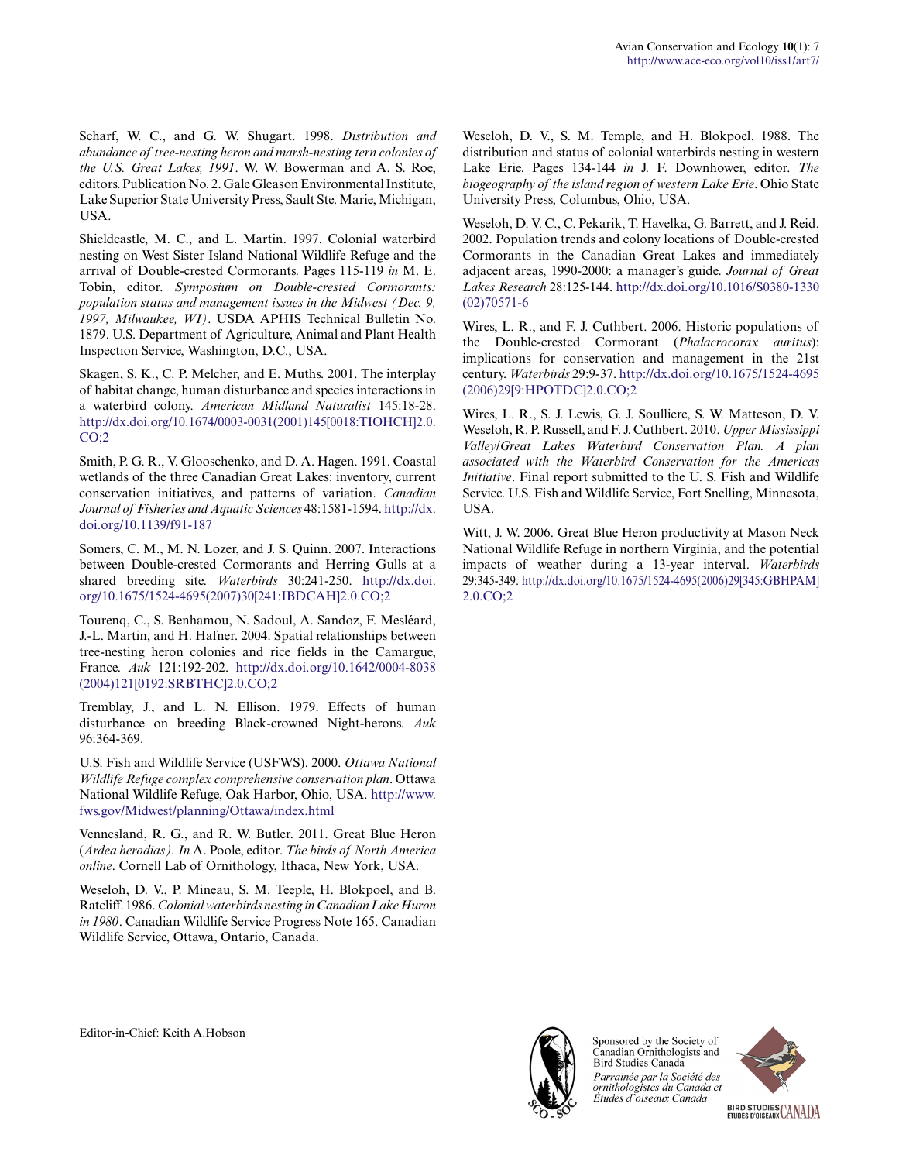Scharf, W. C., and G. W. Shugart. 1998. *Distribution and abundance of tree-nesting heron and marsh-nesting tern colonies of the U.S. Great Lakes, 1991*. W. W. Bowerman and A. S. Roe, editors. Publication No. 2. Gale Gleason Environmental Institute, Lake Superior State University Press, Sault Ste. Marie, Michigan, USA.

Shieldcastle, M. C., and L. Martin. 1997. Colonial waterbird nesting on West Sister Island National Wildlife Refuge and the arrival of Double-crested Cormorants. Pages 115-119 *in* M. E. Tobin, editor. *Symposium on Double-crested Cormorants: population status and management issues in the Midwest (Dec. 9, 1997, Milwaukee, WI)*. USDA APHIS Technical Bulletin No. 1879. U.S. Department of Agriculture, Animal and Plant Health Inspection Service, Washington, D.C., USA.

Skagen, S. K., C. P. Melcher, and E. Muths. 2001. The interplay of habitat change, human disturbance and species interactions in a waterbird colony. *American Midland Naturalist* 145:18-28. [http://dx.doi.org/10.1674/0003-0031\(2001\)145\[0018:TIOHCH\]2.0.](http://dx.doi.org/10.1674%2F0003-0031%282001%29145%5B0018%3ATIOHCH%5D2.0.CO%3B2)  $CO:2$ 

Smith, P. G. R., V. Glooschenko, and D. A. Hagen. 1991. Coastal wetlands of the three Canadian Great Lakes: inventory, current conservation initiatives, and patterns of variation. *Canadian Journal of Fisheries and Aquatic Sciences* 48:1581-1594. [http://dx.](http://dx.doi.org/10.1139%2Ff91-187) [doi.org/10.1139/f91-187](http://dx.doi.org/10.1139%2Ff91-187)

Somers, C. M., M. N. Lozer, and J. S. Quinn. 2007. Interactions between Double-crested Cormorants and Herring Gulls at a shared breeding site. *Waterbirds* 30:241-250. [http://dx.doi.](http://dx.doi.org/10.1675%2F1524-4695%282007%2930%5B241%3AIBDCAH%5D2.0.CO%3B2) [org/10.1675/1524-4695\(2007\)30\[241:IBDCAH\]2.0.CO;2](http://dx.doi.org/10.1675%2F1524-4695%282007%2930%5B241%3AIBDCAH%5D2.0.CO%3B2) 

Tourenq, C., S. Benhamou, N. Sadoul, A. Sandoz, F. Mesléard, J.-L. Martin, and H. Hafner. 2004. Spatial relationships between tree-nesting heron colonies and rice fields in the Camargue, France. *Auk* 121:192-202. [http://dx.doi.org/10.1642/0004-8038](http://dx.doi.org/10.1642%2F0004-8038%282004%29121%5B0192%3ASRBTHC%5D2.0.CO%3B2) [\(2004\)121\[0192:SRBTHC\]2.0.CO;2](http://dx.doi.org/10.1642%2F0004-8038%282004%29121%5B0192%3ASRBTHC%5D2.0.CO%3B2) 

Tremblay, J., and L. N. Ellison. 1979. Effects of human disturbance on breeding Black-crowned Night-herons. *Auk* 96:364-369.

U.S. Fish and Wildlife Service (USFWS). 2000. *Ottawa National Wildlife Refuge complex comprehensive conservation plan*. Ottawa National Wildlife Refuge, Oak Harbor, Ohio, USA. [http://www.](http://www.fws.gov/Midwest/planning/Ottawa/index.html) [fws.gov/Midwest/planning/Ottawa/index.html](http://www.fws.gov/Midwest/planning/Ottawa/index.html) 

Vennesland, R. G., and R. W. Butler. 2011. Great Blue Heron (*Ardea herodias). In* A. Poole, editor. *The birds of North America online*. Cornell Lab of Ornithology, Ithaca, New York, USA.

Weseloh, D. V., P. Mineau, S. M. Teeple, H. Blokpoel, and B. Ratcliff. 1986. *Colonial waterbirds nesting in Canadian Lake Huron in 1980*. Canadian Wildlife Service Progress Note 165. Canadian Wildlife Service, Ottawa, Ontario, Canada.

Weseloh, D. V., S. M. Temple, and H. Blokpoel. 1988. The distribution and status of colonial waterbirds nesting in western Lake Erie. Pages 134-144 *in* J. F. Downhower, editor. *The biogeography of the island region of western Lake Erie*. Ohio State University Press, Columbus, Ohio, USA.

Weseloh, D. V. C., C. Pekarik, T. Havelka, G. Barrett, and J. Reid. 2002. Population trends and colony locations of Double-crested Cormorants in the Canadian Great Lakes and immediately adjacent areas, 1990-2000: a manager's guide. *Journal of Great Lakes Research* 28:125-144. [http://dx.doi.org/10.1016/S0380-1330](http://dx.doi.org/10.1016%2FS0380-1330%2802%2970571-6) [\(02\)70571-6](http://dx.doi.org/10.1016%2FS0380-1330%2802%2970571-6) 

Wires, L. R., and F. J. Cuthbert. 2006. Historic populations of the Double-crested Cormorant (*Phalacrocorax auritus*): implications for conservation and management in the 21st century. *Waterbirds* 29:9-37. [http://dx.doi.org/10.1675/1524-4695](http://dx.doi.org/10.1675%2F1524-4695%282006%2929%5B9%3AHPOTDC%5D2.0.CO%3B2) [\(2006\)29\[9:HPOTDC\]2.0.CO;2](http://dx.doi.org/10.1675%2F1524-4695%282006%2929%5B9%3AHPOTDC%5D2.0.CO%3B2) 

Wires, L. R., S. J. Lewis, G. J. Soulliere, S. W. Matteson, D. V. Weseloh, R. P. Russell, and F. J. Cuthbert. 2010. *Upper Mississippi Valley/Great Lakes Waterbird Conservation Plan. A plan associated with the Waterbird Conservation for the Americas Initiative*. Final report submitted to the U. S. Fish and Wildlife Service. U.S. Fish and Wildlife Service, Fort Snelling, Minnesota, USA.

Witt, J. W. 2006. Great Blue Heron productivity at Mason Neck National Wildlife Refuge in northern Virginia, and the potential impacts of weather during a 13-year interval. *Waterbirds* 29:345-349. [http://dx.doi.org/10.1675/1524-4695\(2006\)29\[345:GBHPAM\]](http://dx.doi.org/10.1675%2F1524-4695%282006%2929%5B345%3AGBHPAM%5D2.0.CO%3B2) [2.0.CO;2](http://dx.doi.org/10.1675%2F1524-4695%282006%2929%5B345%3AGBHPAM%5D2.0.CO%3B2)



Sponsored by the Society of Canadian Ornithologists and Bird Studies Canada Parrainée par la Société des ornithologistes du Canada et Études d'oiseaux Canada



Editor-in-Chief: Keith A.Hobson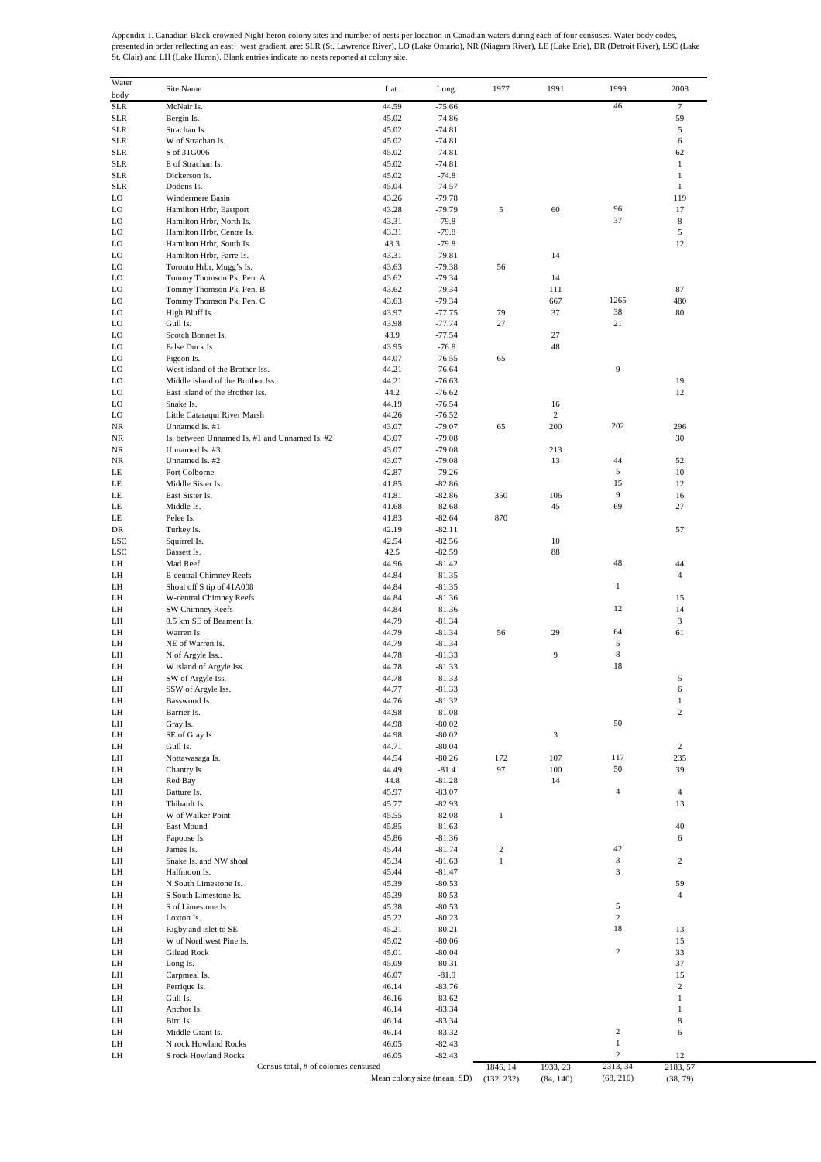Appendix 1. Canadian Black-crowned Night-heron colony sites and number of nests per location in Canadian waters during each of four censuses. Water body codes,<br>presented in order reflecting an east– west gradient, are: SLR

| Water<br>body | Site Name                                                       | Lat.           | Long.                       | 1977                   | 1991      | 1999                           | 2008           |
|---------------|-----------------------------------------------------------------|----------------|-----------------------------|------------------------|-----------|--------------------------------|----------------|
| <b>SLR</b>    | McNair Is.                                                      | 44.59          | $-75.66$                    |                        |           | 46                             | 7              |
| <b>SLR</b>    | Bergin Is.                                                      | 45.02          | $-74.86$                    |                        |           |                                | 59             |
| <b>SLR</b>    | Strachan Is.                                                    | 45.02          | $-74.81$                    |                        |           |                                | 5              |
| <b>SLR</b>    | W of Strachan Is.                                               | 45.02          | $-74.81$                    |                        |           |                                | 6              |
| <b>SLR</b>    | S of 31G006                                                     | 45.02          | $-74.81$                    |                        |           |                                | 62             |
| <b>SLR</b>    | E of Strachan Is.                                               | 45.02          | $-74.81$                    |                        |           |                                | $\mathbf{1}$   |
| <b>SLR</b>    | Dickerson Is.                                                   | 45.02          | $-74.8$                     |                        |           |                                | 1              |
| <b>SLR</b>    | Dodens Is.                                                      | 45.04          | $-74.57$                    |                        |           |                                | $\mathbf{1}$   |
| LO            | Windermere Basin                                                | 43.26          | $-79.78$                    |                        |           |                                | 119            |
| LO            | Hamilton Hrbr, Eastport                                         | 43.28          | $-79.79$                    | 5                      | 60        | 96                             | 17             |
| LO            | Hamilton Hrbr, North Is.                                        | 43.31          | $-79.8$                     |                        |           | 37                             | 8              |
| LO            | Hamilton Hrbr, Centre Is.                                       | 43.31          | $-79.8$                     |                        |           |                                | 5              |
| LO            | Hamilton Hrbr, South Is.                                        | 43.3           | $-79.8$                     |                        |           |                                | 12             |
| LO            | Hamilton Hrbr, Farre Is.                                        | 43.31          | $-79.81$                    |                        | 14        |                                |                |
| LO<br>LO      | Toronto Hrbr, Mugg's Is.<br>Tommy Thomson Pk, Pen. A            | 43.63<br>43.62 | $-79.38$<br>$-79.34$        | 56                     | 14        |                                |                |
| LO            | Tommy Thomson Pk, Pen. B                                        | 43.62          | $-79.34$                    |                        | 111       |                                | 87             |
| LO            | Tommy Thomson Pk, Pen. C                                        | 43.63          | $-79.34$                    |                        | 667       | 1265                           | 480            |
| LO            | High Bluff Is.                                                  | 43.97          | $-77.75$                    | 79                     | 37        | 38                             | 80             |
| LO            | Gull Is.                                                        | 43.98          | $-77.74$                    | 27                     |           | 21                             |                |
| LO            | Scotch Bonnet Is.                                               | 43.9           | $-77.54$                    |                        | 27        |                                |                |
| LO            | False Duck Is.                                                  | 43.95          | $-76.8$                     |                        | 48        |                                |                |
| LO            | Pigeon Is.                                                      | 44.07          | $-76.55$                    | 65                     |           |                                |                |
| LO            | West island of the Brother Iss.                                 | 44.21          | $-76.64$                    |                        |           | 9                              |                |
| LO            | Middle island of the Brother Iss.                               | 44.21          | $-76.63$                    |                        |           |                                | 19             |
| LO            | East island of the Brother Iss.                                 | 44.2           | $-76.62$                    |                        |           |                                | 12             |
| LO            | Snake Is.                                                       | 44.19          | $-76.54$                    |                        | 16        |                                |                |
| LO            | Little Cataraqui River Marsh                                    | 44.26<br>43.07 | $-76.52$                    |                        | 2         | 202                            | 296            |
| NR<br>NR      | Unnamed Is. #1<br>Is. between Unnamed Is. #1 and Unnamed Is. #2 | 43.07          | $-79.07$<br>$-79.08$        | 65                     | 200       |                                | 30             |
| NR            | Unnamed Is. #3                                                  | 43.07          | $-79.08$                    |                        | 213       |                                |                |
| NR            | Unnamed Is. #2                                                  | 43.07          | $-79.08$                    |                        | 13        | 44                             | 52             |
| LE            | Port Colborne                                                   | 42.87          | $-79.26$                    |                        |           | 5                              | 10             |
| LE            | Middle Sister Is.                                               | 41.85          | $-82.86$                    |                        |           | 15                             | 12             |
| LE            | East Sister Is.                                                 | 41.81          | $-82.86$                    | 350                    | 106       | 9                              | 16             |
| LE            | Middle Is.                                                      | 41.68          | $-82.68$                    |                        | 45        | 69                             | 27             |
| LE            | Pelee Is.                                                       | 41.83          | $-82.64$                    | 870                    |           |                                |                |
| DR            | Turkey Is.                                                      | 42.19          | $-82.11$                    |                        |           |                                | 57             |
| LSC           | Squirrel Is.                                                    | 42.54          | $-82.56$                    |                        | 10        |                                |                |
| <b>LSC</b>    | Bassett Is.                                                     | 42.5           | $-82.59$                    |                        | 88        |                                |                |
| LH            | Mad Reef                                                        | 44.96          | $-81.42$                    |                        |           | 48                             | 44             |
| LH            | E-central Chimney Reefs                                         | 44.84          | $-81.35$                    |                        |           |                                | 4              |
| LH            | Shoal off S tip of 41A008                                       | 44.84<br>44.84 | $-81.35$                    |                        |           | 1                              |                |
| LH<br>LH      | W-central Chimney Reefs<br>SW Chimney Reefs                     | 44.84          | $-81.36$<br>$-81.36$        |                        |           | 12                             | 15<br>14       |
| LH            | 0.5 km SE of Beament Is.                                        | 44.79          | $-81.34$                    |                        |           |                                | 3              |
| LH            | Warren Is.                                                      | 44.79          | $-81.34$                    | 56                     | 29        | 64                             | 61             |
| LH            | NE of Warren Is.                                                | 44.79          | $-81.34$                    |                        |           | 5                              |                |
| LH            | N of Argyle Iss                                                 | 44.78          | $-81.33$                    |                        | 9         | 8                              |                |
| LH            | W island of Argyle Iss.                                         | 44.78          | $-81.33$                    |                        |           | 18                             |                |
| LH            | SW of Argyle Iss.                                               | 44.78          | $-81.33$                    |                        |           |                                | 5              |
| LH            | SSW of Argyle Iss.                                              | 44.77          | $-81.33$                    |                        |           |                                | 6              |
| LH            | Basswood Is.                                                    | 44.76          | -81.32                      |                        |           |                                | 1              |
| LH            | Barrier Is.                                                     | 44.98          | $-81.08$                    |                        |           |                                | $\sqrt{2}$     |
| LH            | Gray Is.                                                        | 44.98          | $-80.02$                    |                        |           | 50                             |                |
| LH            | SE of Gray Is.                                                  | 44.98          | $-80.02$                    |                        | 3         |                                |                |
| LH            | Gull Is.                                                        | 44.71          | $-80.04$                    |                        |           | 117                            | 2              |
| LH            | Nottawasaga Is.                                                 | 44.54          | $-80.26$                    | 172                    | 107       | 50                             | 235            |
| LH<br>LH      | Chantry Is.<br>Red Bay                                          | 44.49<br>44.8  | $-81.4$<br>$-81.28$         | 97                     | 100<br>14 |                                | 39             |
| LH            | Batture Is.                                                     | 45.97          | $-83.07$                    |                        |           | 4                              | $\overline{4}$ |
| LH            | Thibault Is.                                                    | 45.77          | $-82.93$                    |                        |           |                                | 13             |
| LH            | W of Walker Point                                               | 45.55          | $-82.08$                    | $\mathbf{1}$           |           |                                |                |
| LH            | East Mound                                                      | 45.85          | $-81.63$                    |                        |           |                                | 40             |
| LH            | Papoose Is.                                                     | 45.86          | $-81.36$                    |                        |           |                                | 6              |
| LH            | James Is.                                                       | 45.44          | $-81.74$                    | $\sqrt{2}$             |           | 42                             |                |
| LH            | Snake Is. and NW shoal                                          | 45.34          | $-81.63$                    | $\mathbf{1}$           |           | 3                              | 2              |
| LH            | Halfmoon Is.                                                    | 45.44          | $-81.47$                    |                        |           | 3                              |                |
| LH            | N South Limestone Is.                                           | 45.39          | $-80.53$                    |                        |           |                                | 59             |
| LH            | S South Limestone Is.                                           | 45.39          | $-80.53$                    |                        |           | 5                              | $\overline{4}$ |
| LH<br>LH      | S of Limestone Is<br>Loxton Is.                                 | 45.38<br>45.22 | $-80.53$<br>$-80.23$        |                        |           | 2                              |                |
| LH            | Rigby and islet to SE                                           | 45.21          | $-80.21$                    |                        |           | 18                             | 13             |
| LH            | W of Northwest Pine Is.                                         | 45.02          | $-80.06$                    |                        |           |                                | 15             |
| LH            | Gilead Rock                                                     | 45.01          | $-80.04$                    |                        |           | 2                              | 33             |
| LH            | Long Is.                                                        | 45.09          | $-80.31$                    |                        |           |                                | 37             |
| LH            | Carpmeal Is.                                                    | 46.07          | $-81.9$                     |                        |           |                                | 15             |
| LH            | Perrique Is.                                                    | 46.14          | $-83.76$                    |                        |           |                                | $\overline{c}$ |
| LH            | Gull Is.                                                        | 46.16          | $-83.62$                    |                        |           |                                | $\mathbf{1}$   |
| LH            | Anchor Is.                                                      | 46.14          | $-83.34$                    |                        |           |                                | $\mathbf{1}$   |
| LH            | Bird Is.                                                        | 46.14          | $-83.34$                    |                        |           |                                | $\,$ 8 $\,$    |
| LH            | Middle Grant Is.                                                | 46.14          | $-83.32$                    |                        |           | $\sqrt{2}$                     | 6              |
| LH            | N rock Howland Rocks                                            | 46.05          | $-82.43$                    |                        |           | $\mathbf{1}$<br>$\overline{c}$ |                |
| LH            | S rock Howland Rocks<br>Census total, # of colonies censused    | 46.05          | $-82.43$                    |                        | 1933, 23  | 2313, 34                       | 12<br>2183, 57 |
|               |                                                                 |                | Mean colony size (mean, SD) | 1846, 14<br>(132, 232) | (84, 140) | (68, 216)                      | (38, 79)       |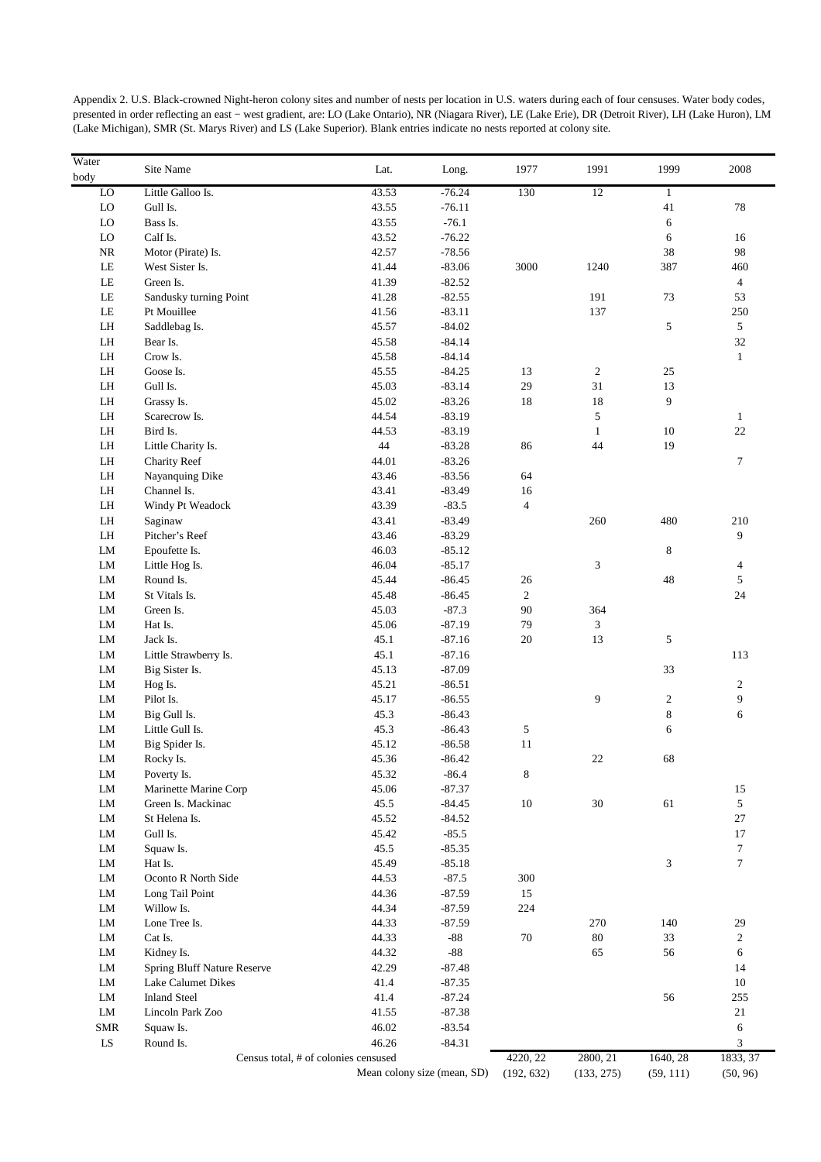| Appendix 2. U.S. Black-crowned Night-heron colony sites and number of nests per location in U.S. waters during each of four censuses. Water body codes,    |
|------------------------------------------------------------------------------------------------------------------------------------------------------------|
| presented in order reflecting an east – west gradient, are: LO (Lake Ontario), NR (Niagara River), LE (Lake Erie), DR (Detroit River), LH (Lake Huron), LM |
| (Lake Michigan), SMR (St. Marys River) and LS (Lake Superior). Blank entries indicate no nests reported at colony site.                                    |

| Water<br>body | Site Name                   | Lat.                                 | Long.          | 1977           | 1991           | 1999                        | 2008             |
|---------------|-----------------------------|--------------------------------------|----------------|----------------|----------------|-----------------------------|------------------|
| ${\rm LO}$    | Little Galloo Is.           | 43.53                                | $-76.24$       | 130            | 12             | $\mathbf{1}$                |                  |
| LO            | Gull Is.                    | 43.55                                | $-76.11$       |                |                | 41                          | 78               |
| ${\rm LO}$    | Bass Is.                    | 43.55                                | $-76.1$        |                |                | $\sqrt{6}$                  |                  |
| LO            | Calf Is.                    | 43.52                                | $-76.22$       |                |                | 6                           | 16               |
| NR            | Motor (Pirate) Is.          | 42.57                                | $-78.56$       |                |                | 38                          | 98               |
| $\rm LE$      | West Sister Is.             | 41.44                                | $-83.06$       | 3000           | 1240           | 387                         | 460              |
| $\rm LE$      | Green Is.                   | 41.39                                | $-82.52$       |                |                |                             | $\overline{4}$   |
| $\rm LE$      | Sandusky turning Point      | 41.28                                | $-82.55$       |                | 191            | 73                          | 53               |
| $\rm LE$      | Pt Mouillee                 | 41.56                                | $-83.11$       |                | 137            |                             | 250              |
| ${\rm LH}$    | Saddlebag Is.               | 45.57                                | $-84.02$       |                |                | 5                           | $\mathfrak{S}$   |
| ${\rm LH}$    | Bear Is.                    | 45.58                                | $-84.14$       |                |                |                             | 32               |
| LH            | Crow Is.                    | 45.58                                | $-84.14$       |                |                |                             | $\mathbf{1}$     |
| ${\rm LH}$    | Goose Is.                   | 45.55                                | $-84.25$       | 13             | $\overline{c}$ | 25                          |                  |
| LH            | Gull Is.                    | 45.03                                | $-83.14$       | 29             | 31             | 13                          |                  |
| ${\rm LH}$    | Grassy Is.                  | 45.02                                | $-83.26$       | 18             | 18             | 9                           |                  |
| ${\rm LH}$    | Scarecrow Is.               | 44.54                                | $-83.19$       |                | 5              |                             | $\mathbf{1}$     |
| LH            | Bird Is.                    | 44.53                                | $-83.19$       |                | $\mathbf{1}$   | 10                          | $22\,$           |
| ${\rm LH}$    | Little Charity Is.          | $44\,$                               | $-83.28$       | 86             | 44             | 19                          |                  |
| ${\rm LH}$    | <b>Charity Reef</b>         | 44.01                                | $-83.26$       |                |                |                             | $\tau$           |
| ${\rm LH}$    | Nayanquing Dike             | 43.46                                | $-83.56$       | 64             |                |                             |                  |
| ${\rm LH}$    | Channel Is.                 | 43.41                                | $-83.49$       | 16             |                |                             |                  |
| LH            | Windy Pt Weadock            | 43.39                                | $-83.5$        | $\overline{4}$ |                |                             |                  |
| ${\rm LH}$    | Saginaw                     | 43.41                                | $-83.49$       |                | 260            | 480                         | $210\,$          |
| ${\rm LH}$    | Pitcher's Reef              | 43.46                                | $-83.29$       |                |                |                             | 9                |
| LM            | Epoufette Is.               | 46.03                                | $-85.12$       |                |                | $\,8\,$                     |                  |
| LM            | Little Hog Is.              | 46.04                                | $-85.17$       |                | 3              |                             | 4                |
| LM            | Round Is.                   | 45.44                                | $-86.45$       | 26             |                | 48                          | $\sqrt{5}$       |
| ${\rm LM}$    | St Vitals Is.               | 45.48                                | $-86.45$       | $\overline{2}$ |                |                             | $24\,$           |
|               |                             |                                      | $-87.3$        |                |                |                             |                  |
| ${\rm LM}$    | Green Is.                   | 45.03                                |                | $90\,$         | 364            |                             |                  |
| LM            | Hat Is.                     | 45.06                                | $-87.19$       | 79             | 3              |                             |                  |
| LM            | Jack Is.                    | 45.1                                 | $-87.16$       | $20\,$         | 13             | $\sqrt{5}$                  |                  |
| LM            | Little Strawberry Is.       | 45.1                                 | $-87.16$       |                |                |                             | 113              |
| LM            | Big Sister Is.              | 45.13                                | $-87.09$       |                |                | 33                          |                  |
| LM            | Hog Is.                     | 45.21                                | $-86.51$       |                |                |                             | $\sqrt{2}$       |
| LM            | Pilot Is.                   | 45.17                                | $-86.55$       |                | 9              | $\overline{c}$              | 9                |
| LM            | Big Gull Is.                | 45.3                                 | $-86.43$       |                |                | $\,8$                       | 6                |
| LM            | Little Gull Is.             | 45.3                                 | $-86.43$       | 5              |                | 6                           |                  |
| LM            | Big Spider Is.              | 45.12                                | $-86.58$       | 11             |                |                             |                  |
| ${\rm LM}$    | Rocky Is.                   | 45.36                                | $-86.42$       |                | $22\,$         | 68                          |                  |
| LM            | Poverty Is.                 | 45.32                                | $-86.4$        | 8              |                |                             |                  |
| LM            | Marinette Marine Corp       | 45.06                                | $-87.37$       |                |                |                             | 15               |
| LM            | Green Is. Mackinac          | 45.5                                 | $-84.45$       | $10\,$         | 30             | 61                          | 5                |
| LM            | St Helena Is.               | 45.52                                | $-84.52$       |                |                |                             | 27               |
| LM            | Gull Is.                    | 45.42                                | $-85.5$        |                |                |                             | 17               |
| LM            | Squaw Is.                   | 45.5                                 | $-85.35$       |                |                |                             | $\boldsymbol{7}$ |
| LM            | Hat Is.                     | 45.49                                | $-85.18$       |                |                | $\ensuremath{\mathfrak{Z}}$ | $\boldsymbol{7}$ |
| LM            | Oconto R North Side         | 44.53                                | $-87.5$        | 300            |                |                             |                  |
| LM            | Long Tail Point             | 44.36                                | $-87.59$       | 15             |                |                             |                  |
| LM            | Willow Is.                  | 44.34                                | $-87.59$       | 224            |                |                             |                  |
| LM            | Lone Tree Is.               | 44.33                                | $-87.59$       |                | 270            | 140                         | 29               |
| LM            | Cat Is.                     | 44.33                                | $\textbf{-88}$ | $70\,$         | $80\,$         | 33                          | $\overline{c}$   |
| LM            | Kidney Is.                  | 44.32                                | $\textbf{-88}$ |                | 65             | 56                          | 6                |
| LM            | Spring Bluff Nature Reserve | 42.29                                | $-87.48$       |                |                |                             | 14               |
| LM            | Lake Calumet Dikes          | 41.4                                 | $-87.35$       |                |                |                             | $10\,$           |
| LM            | <b>Inland Steel</b>         | 41.4                                 | $-87.24$       |                |                | 56                          | 255              |
| LM            | Lincoln Park Zoo            | 41.55                                | $-87.38$       |                |                |                             | $21\,$           |
| <b>SMR</b>    | Squaw Is.                   | 46.02                                | $-83.54$       |                |                |                             | 6                |
| ${\rm LS}$    | Round Is.                   | 46.26                                | $-84.31$       |                |                |                             | 3                |
|               |                             | Census total, # of colonies censused |                | 4220, 22       | 2800, 21       | 1640, 28                    | 1833, 37         |
|               |                             |                                      |                |                |                |                             |                  |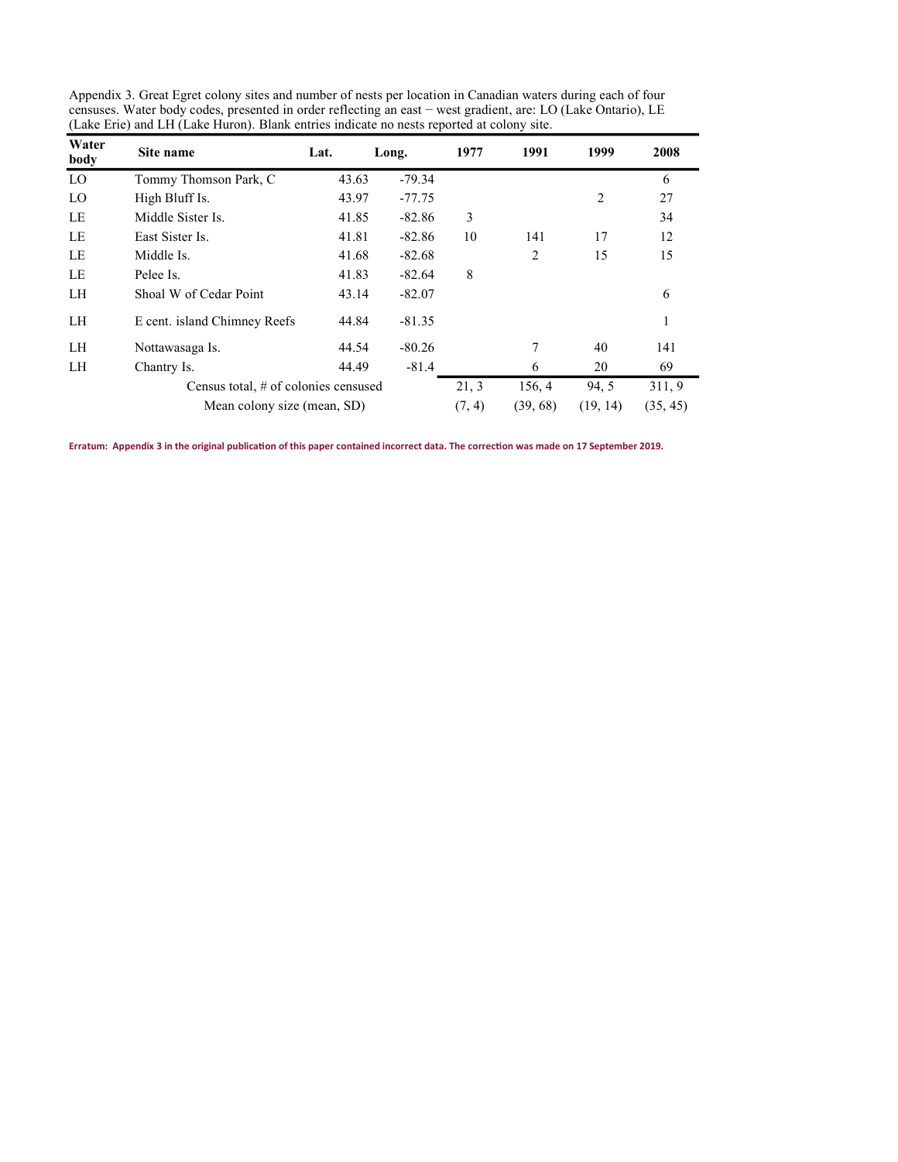| Water<br>body | Site name                            | Lat.   | Long.    | 1977     | 1991     | 1999  | 2008         |
|---------------|--------------------------------------|--------|----------|----------|----------|-------|--------------|
| LO            | Tommy Thomson Park, C                | 43.63  | $-79.34$ |          |          |       | 6            |
| LO            | High Bluff Is.                       | 43.97  | $-77.75$ |          |          | 2     | 27           |
| LE            | Middle Sister Is.                    | 41.85  | $-82.86$ | 3        |          |       | 34           |
| LE            | East Sister Is.                      | 41.81  | $-82.86$ | 10       | 141      | 17    | 12           |
| LE            | Middle Is.                           | 41.68  | $-82.68$ |          | 2        | 15    | 15           |
| LE            | Pelee Is.                            | 41.83  | $-82.64$ | 8        |          |       |              |
| LH            | Shoal W of Cedar Point               | 43.14  | $-82.07$ |          |          |       | 6            |
| LH            | E cent. island Chimney Reefs         | 44.84  | $-81.35$ |          |          |       | $\mathbf{I}$ |
| LH            | Nottawasaga Is.                      | 44.54  | $-80.26$ |          | 7        | 40    | 141          |
| LH            | Chantry Is.                          | 44.49  | $-81.4$  |          | 6        | 20    | 69           |
|               | Census total, # of colonies censused |        |          | 21, 3    | 156, 4   | 94, 5 | 311, 9       |
|               | Mean colony size (mean, SD)          | (7, 4) | (39, 68) | (19, 14) | (35, 45) |       |              |

Appendix 3. Great Egret colony sites and number of nests per location in Canadian waters during each of four censuses. Water body codes, presented in order reflecting an east − west gradient, are: LO (Lake Ontario), LE (Lake Erie) and LH (Lake Huron). Blank entries indicate no nests reported at colony site.

Erratum: Appendix 3 in the original publication of this paper contained incorrect data. The correction was made on 17 September 2019.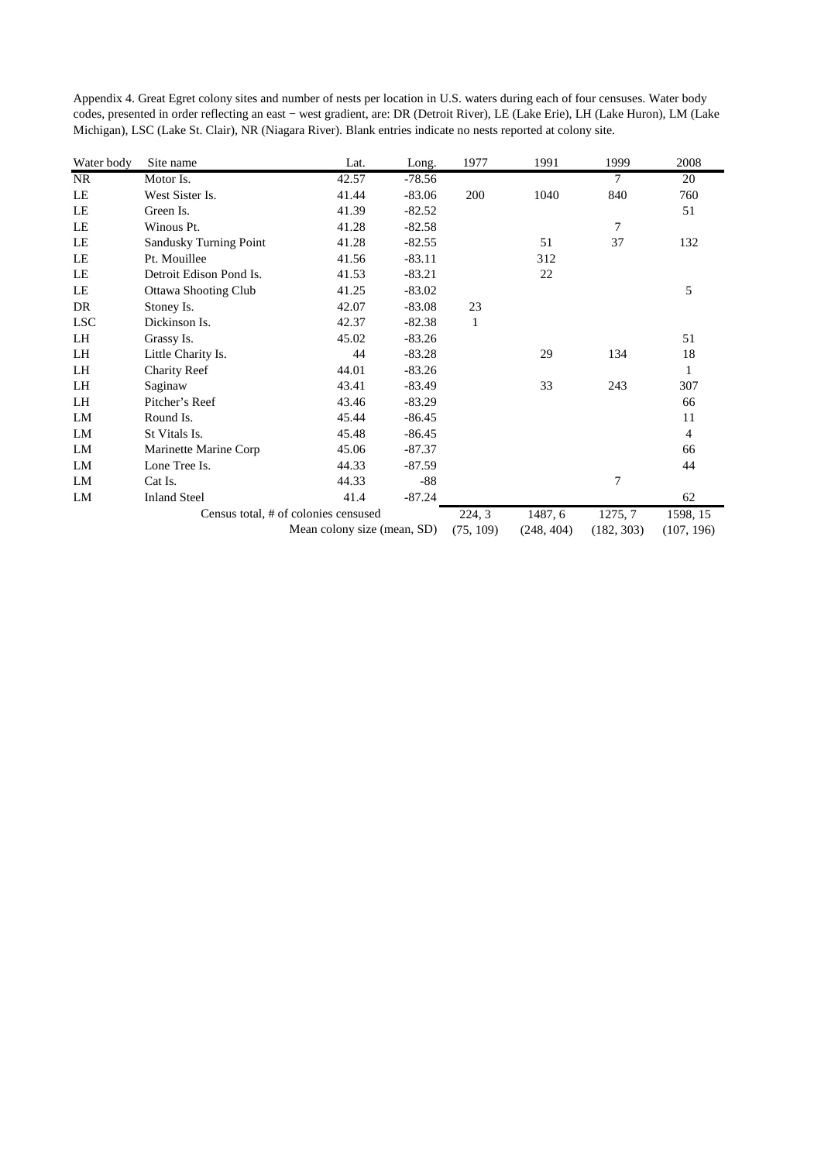| Appendix 4. Great Egret colony sites and number of nests per location in U.S. waters during each of four censuses. Water body    |
|----------------------------------------------------------------------------------------------------------------------------------|
| codes, presented in order reflecting an east – west gradient, are: DR (Detroit River), LE (Lake Erie), LH (Lake Huron), LM (Lake |
| Michigan), LSC (Lake St. Clair), NR (Niagara River). Blank entries indicate no nests reported at colony site.                    |

| Water body | Site name               | Lat.                                 | Long.    | 1977         | 1991       | 1999       | 2008           |
|------------|-------------------------|--------------------------------------|----------|--------------|------------|------------|----------------|
| NR         | Motor Is.               | 42.57                                | $-78.56$ |              |            | $\tau$     | 20             |
| LE         | West Sister Is.         | 41.44                                | $-83.06$ | 200          | 1040       | 840        | 760            |
| LE         | Green Is.               | 41.39                                | $-82.52$ |              |            |            | 51             |
| LE         | Winous Pt.              | 41.28                                | $-82.58$ |              |            | 7          |                |
| LE         | Sandusky Turning Point  | 41.28                                | $-82.55$ |              | 51         | 37         | 132            |
| LE         | Pt. Mouillee            | 41.56                                | $-83.11$ |              | 312        |            |                |
| LE         | Detroit Edison Pond Is. | 41.53                                | $-83.21$ |              | 22         |            |                |
| LE         | Ottawa Shooting Club    | 41.25                                | $-83.02$ |              |            |            | 5              |
| DR         | Stoney Is.              | 42.07                                | $-83.08$ | 23           |            |            |                |
| <b>LSC</b> | Dickinson Is.           | 42.37                                | $-82.38$ | $\mathbf{1}$ |            |            |                |
| LH         | Grassy Is.              | 45.02                                | $-83.26$ |              |            |            | 51             |
| LH         | Little Charity Is.      | 44                                   | $-83.28$ |              | 29         | 134        | 18             |
| LH         | <b>Charity Reef</b>     | 44.01                                | $-83.26$ |              |            |            | 1              |
| LH         | Saginaw                 | 43.41                                | $-83.49$ |              | 33         | 243        | 307            |
| LH         | Pitcher's Reef          | 43.46                                | $-83.29$ |              |            |            | 66             |
| LM         | Round Is.               | 45.44                                | $-86.45$ |              |            |            | 11             |
| LM         | St Vitals Is.           | 45.48                                | $-86.45$ |              |            |            | $\overline{4}$ |
| LM         | Marinette Marine Corp   | 45.06                                | $-87.37$ |              |            |            | 66             |
| LM         | Lone Tree Is.           | 44.33                                | $-87.59$ |              |            |            | 44             |
| LM         | Cat Is.                 | 44.33                                | $-88$    |              |            | 7          |                |
| LM         | <b>Inland Steel</b>     | 41.4                                 | $-87.24$ |              |            |            | 62             |
|            |                         | Census total, # of colonies censused |          | 224, 3       | 1487, 6    | 1275, 7    | 1598, 15       |
|            |                         | Mean colony size (mean, SD)          |          | (75, 109)    | (248, 404) | (182, 303) | (107, 196)     |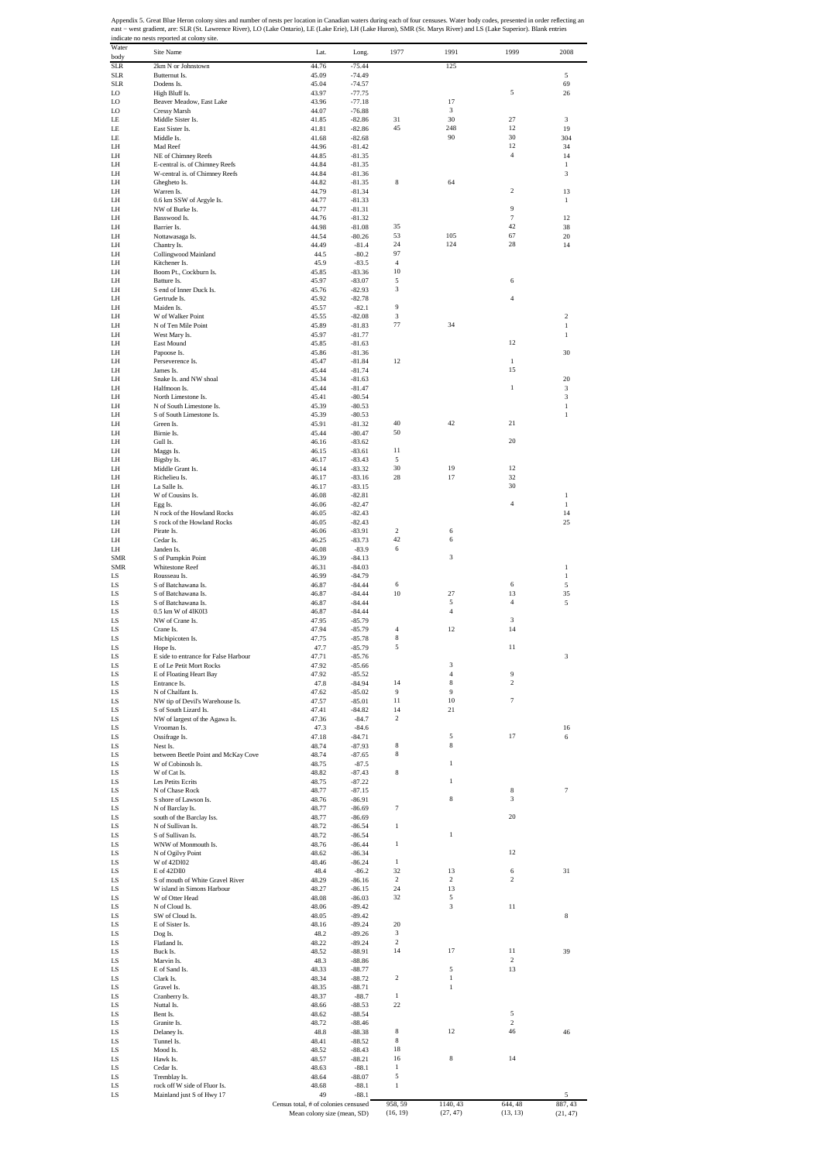Appendix 5. Great Blue Heron colony sites and number of nests per location in Canadian waters during each of four censuses. Water body codes, presented in order reflecting an<br>east – west gradient, are: SLR (St. Lawrence Ri

| Water<br>body            | Site Name                                                        | Lat.                                       | Long.                | 1977                    | 1991              | 1999                    | 2008           |
|--------------------------|------------------------------------------------------------------|--------------------------------------------|----------------------|-------------------------|-------------------|-------------------------|----------------|
| <b>SLR</b>               | 2km N or Johnstown                                               | 44.76                                      | $-75.44$             |                         | 125               |                         |                |
| <b>SLR</b><br><b>SLR</b> | Butternut Is.<br>Dodens Is.                                      | 45.09<br>45.04                             | $-74.49$<br>$-74.57$ |                         |                   |                         | 5<br>69        |
| LO                       | High Bluff Is.                                                   | 43.97                                      | $-77.75$             |                         |                   | 5                       | 26             |
| LO                       | Beaver Meadow, East Lake                                         | 43.96                                      | $-77.18$             |                         | 17                |                         |                |
| LO<br>LE                 | Cressy Marsh<br>Middle Sister Is.                                | 44.07<br>41.85                             | $-76.88$<br>$-82.86$ | 31                      | 3<br>30           | 27                      | 3              |
| LE                       | East Sister Is.                                                  | 41.81                                      | $-82.86$             | 45                      | 248               | 12                      | 19             |
| LE                       | Middle Is.                                                       | 41.68                                      | $-82.68$             |                         | 90                | 30                      | 304            |
| LH<br>LH                 | Mad Reef<br>NE of Chimney Reefs                                  | 44.96<br>44.85                             | $-81.42$<br>$-81.35$ |                         |                   | 12<br>$\overline{4}$    | 34<br>14       |
| LH                       | E-central is. of Chimney Reefs                                   | 44.84                                      | $-81.35$             |                         |                   |                         | 1              |
| LH                       | W-central is. of Chimney Reefs                                   | 44.84                                      | $-81.36$             |                         |                   |                         | 3              |
| LH<br>LH                 | Ghegheto Is.<br>Warren Is.                                       | 44.82<br>44.79                             | $-81.35$             | 8                       | 64                | $\,2\,$                 | 13             |
| LH                       | 0.6 km SSW of Argyle Is.                                         | 44.77                                      | $-81.34$<br>$-81.33$ |                         |                   |                         | $\mathbf{1}$   |
| LH                       | NW of Burke Is.                                                  | 44.77                                      | $-81.31$             |                         |                   | 9                       |                |
| LH                       | Basswood Is.                                                     | 44.76                                      | $-81.32$             |                         |                   | $\tau$<br>42            | 12             |
| LH<br>LH                 | Barrier Is.<br>Nottawasaga Is.                                   | 44.98<br>44.54                             | $-81.08$<br>$-80.26$ | 35<br>53                | 105               | 67                      | 38<br>20       |
| LH                       | Chantry Is.                                                      | 44.49                                      | $-81.4$              | 24                      | 124               | 28                      | 14             |
| LH                       | Collingwood Mainland                                             | 44.5                                       | $-80.2$              | 97                      |                   |                         |                |
| LH<br>LH                 | Kitchener Is.<br>Boom Pt., Cockburn Is.                          | 45.9<br>45.85                              | $-83.5$<br>$-83.36$  | $\overline{4}$<br>10    |                   |                         |                |
| LH                       | Batture Is.                                                      | 45.97                                      | $-83.07$             | 5                       |                   | 6                       |                |
| LH                       | S end of Inner Duck Is.                                          | 45.76                                      | $-82.93$             | 3                       |                   |                         |                |
| LH<br>LH                 | Gertrude Is.<br>Maiden Is.                                       | 45.92<br>45.57                             | $-82.78$<br>$-82.1$  | 9                       |                   | 4                       |                |
| LH                       | W of Walker Point                                                | 45.55                                      | $-82.08$             | 3                       |                   |                         | $\overline{c}$ |
| LH                       | N of Ten Mile Point                                              | 45.89                                      | $-81.83$             | 77                      | 34                |                         | $1\,$          |
| LH<br>LH                 | West Mary Is.<br>East Mound                                      | 45.97<br>45.85                             | $-81.77$<br>$-81.63$ |                         |                   | 12                      | $\mathbf{1}$   |
| LH                       | Papoose Is.                                                      | 45.86                                      | $-81.36$             |                         |                   |                         | 30             |
| LH                       | Perseverence Is.                                                 | 45.47                                      | $-81.84$             | 12                      |                   | $\mathbf{1}$            |                |
| LH                       | James Is.                                                        | 45.44                                      | $-81.74$             |                         |                   | 15                      |                |
| LH<br>LH                 | Snake Is. and NW shoal<br>Halfmoon Is.                           | 45.34<br>45.44                             | $-81.63$<br>$-81.47$ |                         |                   | $\mathbf{1}$            | 20<br>3        |
| LH                       | North Limestone Is.                                              | 45.41                                      | $-80.54$             |                         |                   |                         | 3              |
| LH                       | N of South Limestone Is.                                         | 45.39                                      | $-80.53$             |                         |                   |                         | $\,1\,$        |
| LH<br>LH                 | S of South Limestone Is.<br>Green Is.                            | 45.39<br>45.91                             | $-80.53$<br>$-81.32$ | 40                      | $42\,$            | 21                      | $\mathbf{1}$   |
| LH                       | Birnie Is.                                                       | 45.44                                      | $-80.47$             | 50                      |                   |                         |                |
| <b>IH</b>                | Gull Is.                                                         | 46.16                                      | $-83.62$             |                         |                   | 20                      |                |
| LH                       | Maggs Is.                                                        | 46.15                                      | $-83.61$             | 11                      |                   |                         |                |
| LH<br>LH                 | Bigsby Is.<br>Middle Grant Is.                                   | 46.17<br>46.14                             | $-83.43$<br>$-83.32$ | 5<br>30                 | 19                | 12                      |                |
| LH                       | Richelieu Is.                                                    | 46.17                                      | $-83.16$             | 28                      | 17                | 32                      |                |
| LH                       | La Salle Is.                                                     | 46.17                                      | $-83.15$             |                         |                   | 30                      |                |
| LH<br>LH                 | W of Cousins Is.<br>Egg Is.                                      | 46.08<br>46.06                             | $-82.81$<br>$-82.47$ |                         |                   | $\overline{4}$          | 1<br>$\,1\,$   |
| LH                       | N rock of the Howland Rocks                                      | 46.05                                      | $-82.43$             |                         |                   |                         | 14             |
| LH                       | S rock of the Howland Rocks                                      | 46.05                                      | $-82.43$             |                         |                   |                         | 25             |
| LH                       | Pirate Is.                                                       | 46.06                                      | $-83.91$             | $\overline{2}$<br>42    | 6                 |                         |                |
| LH<br>LH                 | Cedar Is.<br>Janden Is.                                          | 46.25<br>46.08                             | $-83.73$<br>$-83.9$  | 6                       | 6                 |                         |                |
| <b>SMR</b>               | S of Pumpkin Point                                               | 46.39                                      | $-84.13$             |                         | 3                 |                         |                |
| <b>SMR</b>               | Whitestone Reef                                                  | 46.31                                      | $-84.03$             |                         |                   |                         | $\,1\,$        |
| LS<br>LS                 | Rousseau Is.<br>S of Batchawana Is.                              | 46.99<br>46.87                             | $-84.79$<br>$-84.44$ | 6                       |                   | 6                       | $\,1\,$<br>5   |
| LS                       | S of Batchawana Is.                                              | 46.87                                      | $-84.44$             | 10                      | 27                | 13                      | 35             |
| LS                       | S of Batchawana Is.                                              | 46.87                                      | $-84.44$             |                         | 5                 | $\overline{4}$          | 5              |
| LS                       | 0.5 km W of 41K013                                               | 46.87                                      | $-84.44$             |                         | $\overline{4}$    |                         |                |
| LS<br>LS                 | NW of Crane Is.<br>Crane Is.                                     | 47.95<br>47.94                             | $-85.79$<br>$-85.79$ | $\overline{4}$          | 12                | 3<br>14                 |                |
| LS                       | Michipicoten Is.                                                 | 47.75                                      | $-85.78$             | 8                       |                   |                         |                |
| LS                       | Hope Is.                                                         | 47.7                                       | $-85.79$             | 5                       |                   | 11                      |                |
| LS<br>LS                 | E side to entrance for False Harbour<br>E of Le Petit Mort Rocks | 47.71<br>47.92                             | $-85.76$<br>-85.66   |                         | ð                 |                         | 3              |
| LS                       | E of Floating Heart Bay                                          | 47.92                                      | $-85.52$             |                         | $\overline{4}$    | 9                       |                |
| LS                       | Entrance Is.                                                     | 47.8                                       | $-84.94$             | 14                      | 8                 | $\overline{\mathbf{c}}$ |                |
| LS                       | N of Chalfant Is.                                                | 47.62                                      | $-85.02$             | 9<br>11                 | 9<br>$10\,$       | $\tau$                  |                |
| LS<br>LS                 | NW tip of Devil's Warehouse Is.<br>S of South Lizard Is.         | 47.57<br>47.41                             | $-85.01$<br>$-84.82$ | 14                      | 21                |                         |                |
| LS                       | NW of largest of the Agawa Is.                                   | 47.36                                      | $-84.7$              | $\overline{2}$          |                   |                         |                |
| LS                       | Vrooman Is.                                                      | 47.3                                       | $-84.6$              |                         |                   |                         | 16             |
| LS<br>LS                 | Ossifrage Is.<br>Nest Is.                                        | 47.18<br>48.74                             | $-84.71$<br>$-87.93$ | 8                       | 5<br>8            | 17                      | 6              |
| LS                       | between Beetle Point and McKay Cove                              | 48.74                                      | $-87.65$             | 8                       |                   |                         |                |
| LS                       | W of Cobinosh Is.                                                | 48.75                                      | $-87.5$              |                         | $\,1\,$           |                         |                |
| LS                       | W of Cat Is.                                                     | 48.82                                      | $-87.43$             | 8                       | 1                 |                         |                |
| LS<br>LS                 | Les Petits Ecrits<br>N of Chase Rock                             | 48.75<br>48.77                             | $-87.22$<br>$-87.15$ |                         |                   | 8                       | 7              |
| LS                       | S shore of Lawson Is.                                            | 48.76                                      | $-86.91$             |                         | 8                 | 3                       |                |
| LS                       | N of Barclay Is.                                                 | 48.77                                      | $-86.69$             | $\tau$                  |                   |                         |                |
| LS<br>LS                 | south of the Barclay Iss.<br>N of Sullivan Is.                   | 48.77<br>48.72                             | $-86.69$<br>$-86.54$ | $\mathbf{1}$            |                   | 20                      |                |
| LS                       | S of Sullivan Is.                                                | 48.72                                      | $-86.54$             |                         | $\mathbf{1}$      |                         |                |
| LS                       | WNW of Monmouth Is.                                              | 48.76                                      | $-86.44$             | $\mathbf{1}$            |                   |                         |                |
| LS<br>LS                 | N of Ogilvy Point<br>W of 42D102                                 | 48.62<br>48.46                             | $-86.34$<br>$-86.24$ | $\mathbf{1}$            |                   | 12                      |                |
| LS                       | E of 42Dll0                                                      | 48.4                                       | $-86.2$              | 32                      | 13                | 6                       | 31             |
| LS                       | S of mouth of White Gravel River                                 | 48.29                                      | $-86.16$             | $\overline{\mathbf{c}}$ | 2                 | $\overline{\mathbf{c}}$ |                |
| LS                       | W island in Simons Harbour                                       | 48.27                                      | $-86.15$             | 24<br>32                | 13                |                         |                |
| LS<br>LS                 | W of Otter Head<br>N of Cloud Is.                                | 48.08<br>48.06                             | $-86.03$<br>$-89.42$ |                         | 5<br>3            | 11                      |                |
| LS                       | SW of Cloud Is.                                                  | 48.05                                      | $-89.42$             |                         |                   |                         | 8              |
| LS                       | E of Sister Is.                                                  | 48.16                                      | $-89.24$             | 20                      |                   |                         |                |
| LS<br>LS                 | Dog Is.<br>Flatland Is.                                          | 48.2<br>48.22                              | $-89.26$<br>$-89.24$ | 3<br>$\overline{2}$     |                   |                         |                |
| LS                       | Buck Is.                                                         | 48.52                                      | $-88.91$             | 14                      | 17                | 11                      | 39             |
| LS                       | Marvin Is.                                                       | 48.3                                       | $-88.86$             |                         |                   | 2                       |                |
| LS                       | E of Sand Is.                                                    | 48.33                                      | $-88.77$             | $\overline{\mathbf{c}}$ | 5<br>$\mathbf{1}$ | 13                      |                |
| LS<br>LS                 | Clark Is.<br>Gravel Is.                                          | 48.34<br>48.35                             | $-88.72$<br>$-88.71$ |                         | $\mathbf{1}$      |                         |                |
| LS                       | Cranberry Is.                                                    | 48.37                                      | $-88.7$              | $\mathbf{1}$            |                   |                         |                |
| LS                       | Nuttal Is.                                                       | 48.66                                      | $-88.53$             | $22\,$                  |                   |                         |                |
| LS<br>LS                 | Bent Is.<br>Granite Is.                                          | 48.62<br>48.72                             | $-88.54$<br>$-88.46$ |                         |                   | 5<br>$\overline{c}$     |                |
| LS                       | Delaney Is.                                                      | 48.8                                       | $-88.38$             | 8                       | 12                | 46                      | 46             |
| LS                       | Tunnel Is.                                                       | 48.41                                      | $-88.52$             | 8                       |                   |                         |                |
| LS<br>LS                 | Mood Is.<br>Hawk Is.                                             | 48.52<br>48.57                             | $-88.43$             | 18<br>16                | 8                 | 14                      |                |
| LS                       | Cedar Is.                                                        | 48.63                                      | $-88.21$<br>$-88.1$  | $\mathbf{1}$            |                   |                         |                |
| LS                       | Tremblay Is.                                                     | 48.64                                      | $-88.07$             | 5                       |                   |                         |                |
| LS                       | rock off W side of Fluor Is.                                     | 48.68                                      | $-88.1$              | $\mathbf{1}$            |                   |                         |                |
| LS                       | Mainland just S of Hwy 17                                        | 49<br>Census total, # of colonies censused | $-88.1$              | 958, 59                 | 1140, 43          | 644, 48                 | 5<br>887, 43   |
|                          |                                                                  | Mean colony size (mean, SD)                |                      | (16, 19)                | (27, 47)          | (13, 13)                | (21, 47)       |